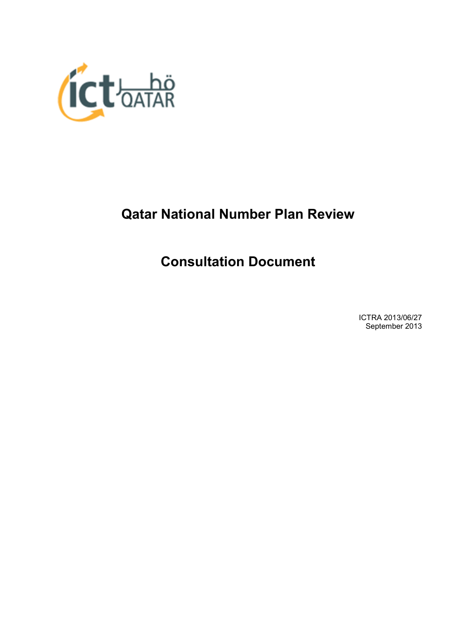

# **Qatar National Number Plan Review**

# **Consultation Document**

ICTRA 2013/06/27 September 2013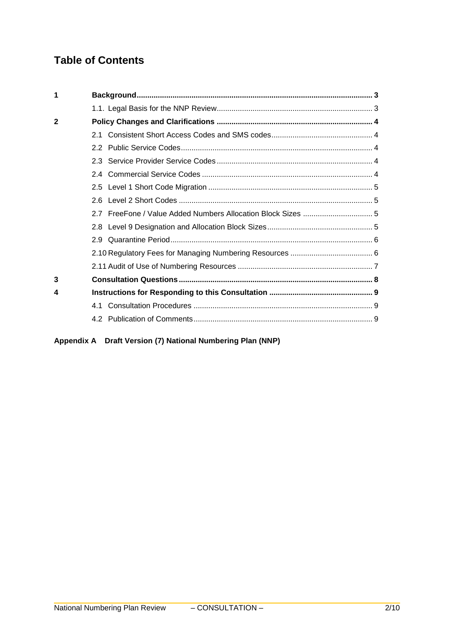# **Table of Contents**

| 1              |  |
|----------------|--|
|                |  |
| $\overline{2}$ |  |
|                |  |
|                |  |
|                |  |
|                |  |
|                |  |
|                |  |
|                |  |
|                |  |
|                |  |
|                |  |
|                |  |
| 3              |  |
| 4              |  |
|                |  |
|                |  |

**Appendix A Draft Version (7) National Numbering Plan (NNP)**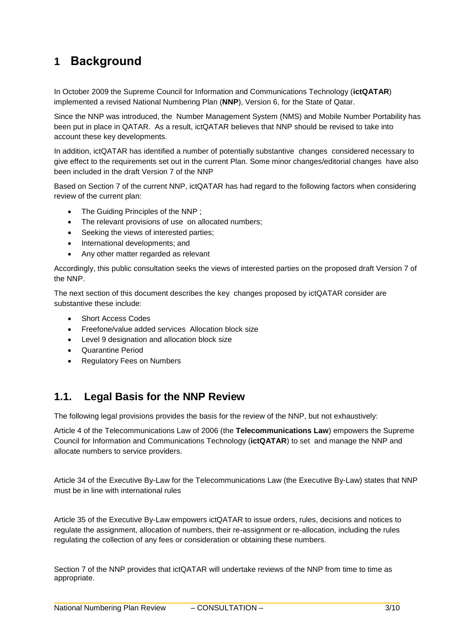# **1 Background**

In October 2009 the Supreme Council for Information and Communications Technology (**ictQATAR**) implemented a revised National Numbering Plan (**NNP**), Version 6, for the State of Qatar.

Since the NNP was introduced, the Number Management System (NMS) and Mobile Number Portability has been put in place in QATAR. As a result, ictQATAR believes that NNP should be revised to take into account these key developments.

In addition, ictQATAR has identified a number of potentially substantive changes considered necessary to give effect to the requirements set out in the current Plan. Some minor changes/editorial changes have also been included in the draft Version 7 of the NNP

Based on Section 7 of the current NNP, ictQATAR has had regard to the following factors when considering review of the current plan:

- The Guiding Principles of the NNP;
- The relevant provisions of use on allocated numbers;
- Seeking the views of interested parties;
- International developments; and
- Any other matter regarded as relevant

Accordingly, this public consultation seeks the views of interested parties on the proposed draft Version 7 of the NNP.

The next section of this document describes the key changes proposed by ictQATAR consider are substantive these include:

- Short Access Codes
- Freefone/value added services Allocation block size
- Level 9 designation and allocation block size
- Quarantine Period
- Regulatory Fees on Numbers

## **1.1. Legal Basis for the NNP Review**

The following legal provisions provides the basis for the review of the NNP, but not exhaustively:

Article 4 of the Telecommunications Law of 2006 (the **Telecommunications Law**) empowers the Supreme Council for Information and Communications Technology (**ictQATAR**) to set and manage the NNP and allocate numbers to service providers.

Article 34 of the Executive By-Law for the Telecommunications Law (the Executive By-Law) states that NNP must be in line with international rules

Article 35 of the Executive By-Law empowers ictQATAR to issue orders, rules, decisions and notices to regulate the assignment, allocation of numbers, their re-assignment or re-allocation, including the rules regulating the collection of any fees or consideration or obtaining these numbers.

Section 7 of the NNP provides that ictQATAR will undertake reviews of the NNP from time to time as appropriate.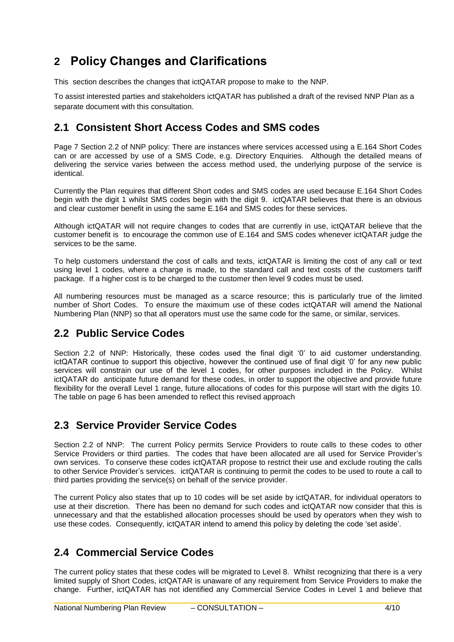# **2 Policy Changes and Clarifications**

This section describes the changes that ictQATAR propose to make to the NNP.

To assist interested parties and stakeholders ictQATAR has published a draft of the revised NNP Plan as a separate document with this consultation.

## **2.1 Consistent Short Access Codes and SMS codes**

Page 7 Section 2.2 of NNP policy: There are instances where services accessed using a E.164 Short Codes can or are accessed by use of a SMS Code, e.g. Directory Enquiries. Although the detailed means of delivering the service varies between the access method used, the underlying purpose of the service is identical.

Currently the Plan requires that different Short codes and SMS codes are used because E.164 Short Codes begin with the digit 1 whilst SMS codes begin with the digit 9. ictQATAR believes that there is an obvious and clear customer benefit in using the same E.164 and SMS codes for these services.

Although ictQATAR will not require changes to codes that are currently in use, ictQATAR believe that the customer benefit is to encourage the common use of E.164 and SMS codes whenever ictQATAR judge the services to be the same.

To help customers understand the cost of calls and texts, ictQATAR is limiting the cost of any call or text using level 1 codes, where a charge is made, to the standard call and text costs of the customers tariff package. If a higher cost is to be charged to the customer then level 9 codes must be used.

All numbering resources must be managed as a scarce resource; this is particularly true of the limited number of Short Codes. To ensure the maximum use of these codes ictQATAR will amend the National Numbering Plan (NNP) so that all operators must use the same code for the same, or similar, services.

## **2.2 Public Service Codes**

Section 2.2 of NNP: Historically, these codes used the final digit '0' to aid customer understanding. ictQATAR continue to support this objective, however the continued use of final digit "0" for any new public services will constrain our use of the level 1 codes, for other purposes included in the Policy. Whilst ictQATAR do anticipate future demand for these codes, in order to support the objective and provide future flexibility for the overall Level 1 range, future allocations of codes for this purpose will start with the digits 10. The table on page 6 has been amended to reflect this revised approach

## **2.3 Service Provider Service Codes**

Section 2.2 of NNP: The current Policy permits Service Providers to route calls to these codes to other Service Providers or third parties. The codes that have been allocated are all used for Service Provider"s own services. To conserve these codes ictQATAR propose to restrict their use and exclude routing the calls to other Service Provider"s services. ictQATAR is continuing to permit the codes to be used to route a call to third parties providing the service(s) on behalf of the service provider.

The current Policy also states that up to 10 codes will be set aside by ictQATAR, for individual operators to use at their discretion. There has been no demand for such codes and ictQATAR now consider that this is unnecessary and that the established allocation processes should be used by operators when they wish to use these codes. Consequently, ictQATAR intend to amend this policy by deleting the code "set aside".

## **2.4 Commercial Service Codes**

The current policy states that these codes will be migrated to Level 8. Whilst recognizing that there is a very limited supply of Short Codes, ictQATAR is unaware of any requirement from Service Providers to make the change. Further, ictQATAR has not identified any Commercial Service Codes in Level 1 and believe that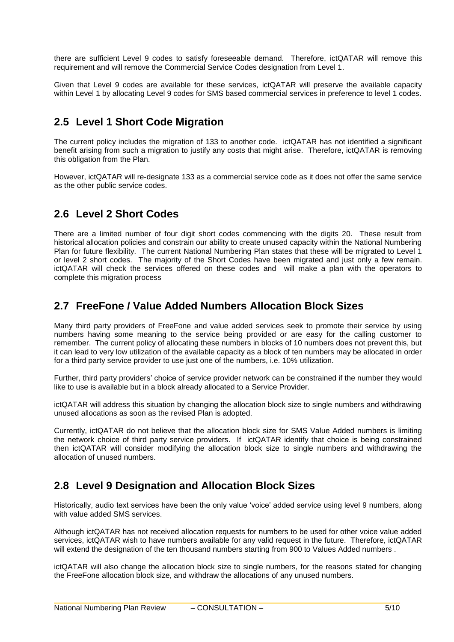there are sufficient Level 9 codes to satisfy foreseeable demand. Therefore, ictQATAR will remove this requirement and will remove the Commercial Service Codes designation from Level 1.

Given that Level 9 codes are available for these services, ictQATAR will preserve the available capacity within Level 1 by allocating Level 9 codes for SMS based commercial services in preference to level 1 codes.

## **2.5 Level 1 Short Code Migration**

The current policy includes the migration of 133 to another code. ictQATAR has not identified a significant benefit arising from such a migration to justify any costs that might arise. Therefore, ictQATAR is removing this obligation from the Plan.

However, ictQATAR will re-designate 133 as a commercial service code as it does not offer the same service as the other public service codes.

## **2.6 Level 2 Short Codes**

There are a limited number of four digit short codes commencing with the digits 20. These result from historical allocation policies and constrain our ability to create unused capacity within the National Numbering Plan for future flexibility. The current National Numbering Plan states that these will be migrated to Level 1 or level 2 short codes. The majority of the Short Codes have been migrated and just only a few remain. ictQATAR will check the services offered on these codes and will make a plan with the operators to complete this migration process

## **2.7 FreeFone / Value Added Numbers Allocation Block Sizes**

Many third party providers of FreeFone and value added services seek to promote their service by using numbers having some meaning to the service being provided or are easy for the calling customer to remember. The current policy of allocating these numbers in blocks of 10 numbers does not prevent this, but it can lead to very low utilization of the available capacity as a block of ten numbers may be allocated in order for a third party service provider to use just one of the numbers, i.e. 10% utilization.

Further, third party providers" choice of service provider network can be constrained if the number they would like to use is available but in a block already allocated to a Service Provider.

ictQATAR will address this situation by changing the allocation block size to single numbers and withdrawing unused allocations as soon as the revised Plan is adopted.

Currently, ictQATAR do not believe that the allocation block size for SMS Value Added numbers is limiting the network choice of third party service providers. If ictQATAR identify that choice is being constrained then ictQATAR will consider modifying the allocation block size to single numbers and withdrawing the allocation of unused numbers.

## **2.8 Level 9 Designation and Allocation Block Sizes**

Historically, audio text services have been the only value "voice" added service using level 9 numbers, along with value added SMS services.

Although ictQATAR has not received allocation requests for numbers to be used for other voice value added services, ictQATAR wish to have numbers available for any valid request in the future. Therefore, ictQATAR will extend the designation of the ten thousand numbers starting from 900 to Values Added numbers .

ictQATAR will also change the allocation block size to single numbers, for the reasons stated for changing the FreeFone allocation block size, and withdraw the allocations of any unused numbers.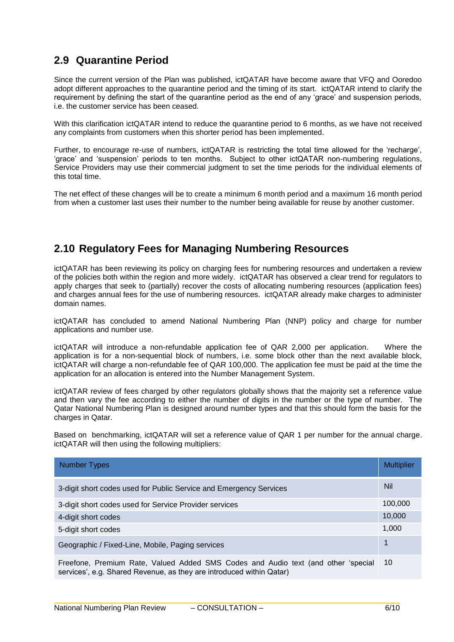## **2.9 Quarantine Period**

Since the current version of the Plan was published, ictQATAR have become aware that VFQ and Ooredoo adopt different approaches to the quarantine period and the timing of its start. ictQATAR intend to clarify the requirement by defining the start of the quarantine period as the end of any "grace" and suspension periods, i.e. the customer service has been ceased.

With this clarification ictQATAR intend to reduce the quarantine period to 6 months, as we have not received any complaints from customers when this shorter period has been implemented.

Further, to encourage re-use of numbers, ictQATAR is restricting the total time allowed for the 'recharge', 'grace' and 'suspension' periods to ten months. Subject to other ictQATAR non-numbering regulations, Service Providers may use their commercial judgment to set the time periods for the individual elements of this total time.

The net effect of these changes will be to create a minimum 6 month period and a maximum 16 month period from when a customer last uses their number to the number being available for reuse by another customer.

## **2.10 Regulatory Fees for Managing Numbering Resources**

ictQATAR has been reviewing its policy on charging fees for numbering resources and undertaken a review of the policies both within the region and more widely. ictQATAR has observed a clear trend for regulators to apply charges that seek to (partially) recover the costs of allocating numbering resources (application fees) and charges annual fees for the use of numbering resources. ictQATAR already make charges to administer domain names.

ictQATAR has concluded to amend National Numbering Plan (NNP) policy and charge for number applications and number use.

ictQATAR will introduce a non-refundable application fee of QAR 2,000 per application. Where the application is for a non-sequential block of numbers, i.e. some block other than the next available block, ictQATAR will charge a non-refundable fee of QAR 100,000. The application fee must be paid at the time the application for an allocation is entered into the Number Management System.

ictQATAR review of fees charged by other regulators globally shows that the majority set a reference value and then vary the fee according to either the number of digits in the number or the type of number. The Qatar National Numbering Plan is designed around number types and that this should form the basis for the charges in Qatar.

Based on benchmarking, ictQATAR will set a reference value of QAR 1 per number for the annual charge. ictQATAR will then using the following multipliers:

| <b>Number Types</b>                                                                                                                                       | <b>Multiplier</b> |
|-----------------------------------------------------------------------------------------------------------------------------------------------------------|-------------------|
| 3-digit short codes used for Public Service and Emergency Services                                                                                        | <b>Nil</b>        |
| 3-digit short codes used for Service Provider services                                                                                                    | 100,000           |
| 4-digit short codes                                                                                                                                       | 10,000            |
| 5-digit short codes                                                                                                                                       | 1,000             |
| Geographic / Fixed-Line, Mobile, Paging services                                                                                                          | 1                 |
| Freefone, Premium Rate, Valued Added SMS Codes and Audio text (and other 'special<br>services', e.g. Shared Revenue, as they are introduced within Qatar) | 10                |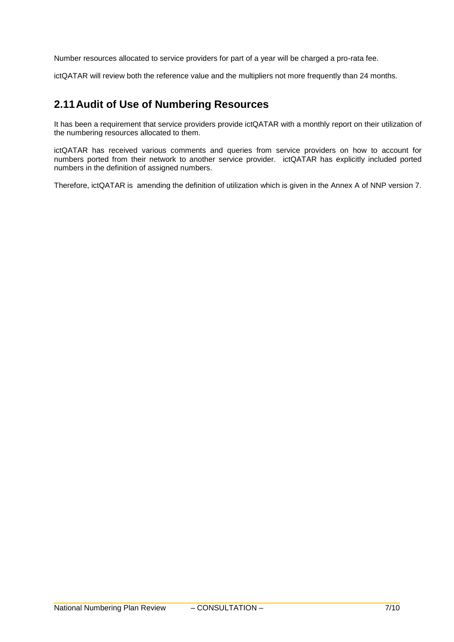Number resources allocated to service providers for part of a year will be charged a pro-rata fee.

ictQATAR will review both the reference value and the multipliers not more frequently than 24 months.

## **2.11Audit of Use of Numbering Resources**

It has been a requirement that service providers provide ictQATAR with a monthly report on their utilization of the numbering resources allocated to them.

ictQATAR has received various comments and queries from service providers on how to account for numbers ported from their network to another service provider. ictQATAR has explicitly included ported numbers in the definition of assigned numbers.

Therefore, ictQATAR is amending the definition of utilization which is given in the Annex A of NNP version 7.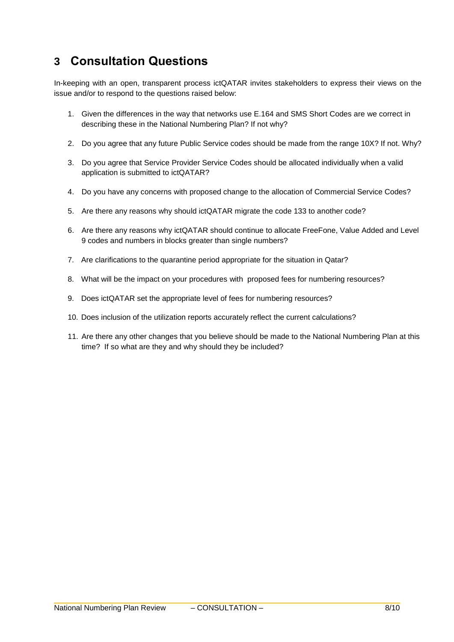# **3 Consultation Questions**

In-keeping with an open, transparent process ictQATAR invites stakeholders to express their views on the issue and/or to respond to the questions raised below:

- 1. Given the differences in the way that networks use E.164 and SMS Short Codes are we correct in describing these in the National Numbering Plan? If not why?
- 2. Do you agree that any future Public Service codes should be made from the range 10X? If not. Why?
- 3. Do you agree that Service Provider Service Codes should be allocated individually when a valid application is submitted to ictQATAR?
- 4. Do you have any concerns with proposed change to the allocation of Commercial Service Codes?
- 5. Are there any reasons why should ictQATAR migrate the code 133 to another code?
- 6. Are there any reasons why ictQATAR should continue to allocate FreeFone, Value Added and Level 9 codes and numbers in blocks greater than single numbers?
- 7. Are clarifications to the quarantine period appropriate for the situation in Qatar?
- 8. What will be the impact on your procedures with proposed fees for numbering resources?
- 9. Does ictQATAR set the appropriate level of fees for numbering resources?
- 10. Does inclusion of the utilization reports accurately reflect the current calculations?
- 11. Are there any other changes that you believe should be made to the National Numbering Plan at this time? If so what are they and why should they be included?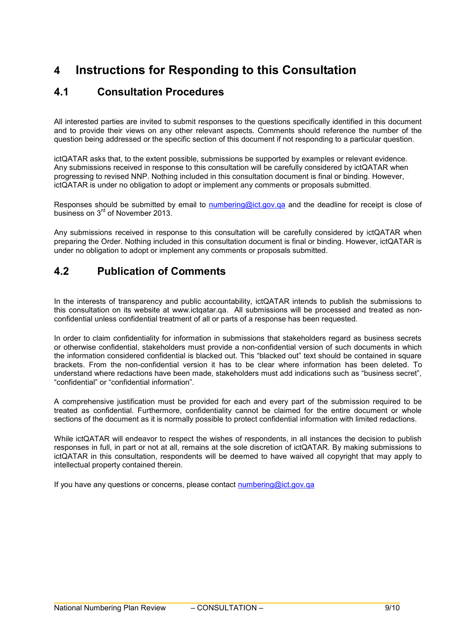# **4 Instructions for Responding to this Consultation**

## **4.1 Consultation Procedures**

All interested parties are invited to submit responses to the questions specifically identified in this document and to provide their views on any other relevant aspects. Comments should reference the number of the question being addressed or the specific section of this document if not responding to a particular question.

ictQATAR asks that, to the extent possible, submissions be supported by examples or relevant evidence. Any submissions received in response to this consultation will be carefully considered by ictQATAR when progressing to revised NNP. Nothing included in this consultation document is final or binding. However, ictQATAR is under no obligation to adopt or implement any comments or proposals submitted.

Responses should be submitted by email to numbering@ict.gov.ga and the deadline for receipt is close of business on 3<sup>rd</sup> of November 2013.

Any submissions received in response to this consultation will be carefully considered by ictQATAR when preparing the Order. Nothing included in this consultation document is final or binding. However, ictQATAR is under no obligation to adopt or implement any comments or proposals submitted.

## **4.2 Publication of Comments**

In the interests of transparency and public accountability, ictQATAR intends to publish the submissions to this consultation on its website at www.ictqatar.qa. All submissions will be processed and treated as nonconfidential unless confidential treatment of all or parts of a response has been requested.

In order to claim confidentiality for information in submissions that stakeholders regard as business secrets or otherwise confidential, stakeholders must provide a non-confidential version of such documents in which the information considered confidential is blacked out. This "blacked out" text should be contained in square brackets. From the non-confidential version it has to be clear where information has been deleted. To understand where redactions have been made, stakeholders must add indications such as "business secret", "confidential" or "confidential information".

A comprehensive justification must be provided for each and every part of the submission required to be treated as confidential. Furthermore, confidentiality cannot be claimed for the entire document or whole sections of the document as it is normally possible to protect confidential information with limited redactions.

While ictQATAR will endeavor to respect the wishes of respondents, in all instances the decision to publish responses in full, in part or not at all, remains at the sole discretion of ictQATAR. By making submissions to ictQATAR in this consultation, respondents will be deemed to have waived all copyright that may apply to intellectual property contained therein.

If you have any questions or concerns, please contact [numbering@ict.gov.qa](mailto:numbering@ict.gov.qa)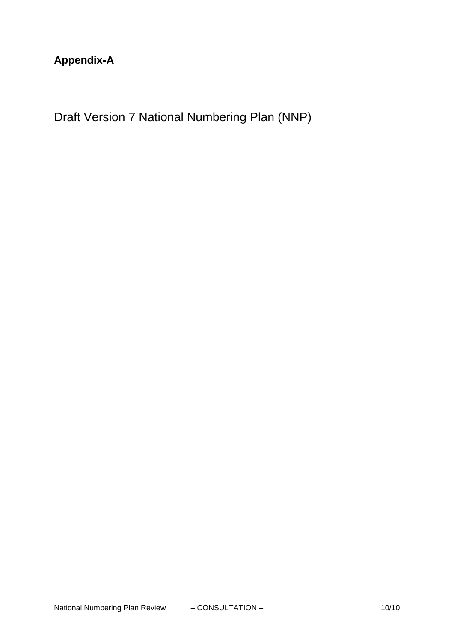# **Appendix-A**

Draft Version 7 National Numbering Plan (NNP)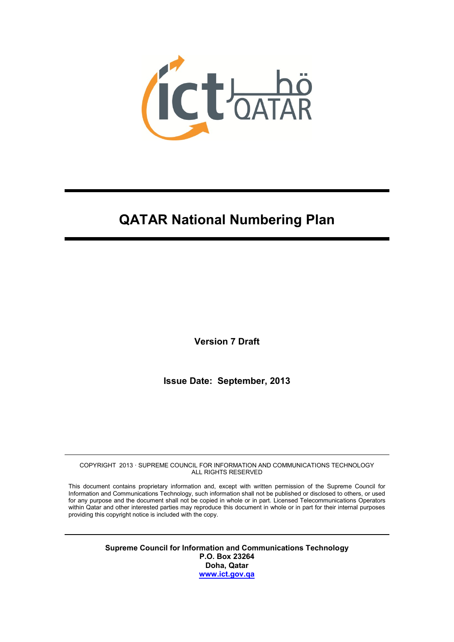

# **QATAR National Numbering Plan**

**Version 7 Draft**

**Issue Date: September, 2013**

COPYRIGHT 2013 · SUPREME COUNCIL FOR INFORMATION AND COMMUNICATIONS TECHNOLOGY ALL RIGHTS RESERVED

This document contains proprietary information and, except with written permission of the Supreme Council for Information and Communications Technology, such information shall not be published or disclosed to others, or used for any purpose and the document shall not be copied in whole or in part. Licensed Telecommunications Operators within Qatar and other interested parties may reproduce this document in whole or in part for their internal purposes providing this copyright notice is included with the copy.

> **Supreme Council for Information and Communications Technology P.O. Box 23264 Doha, Qatar [www.ict.gov.qa](http://www.ict.gov.qa/)**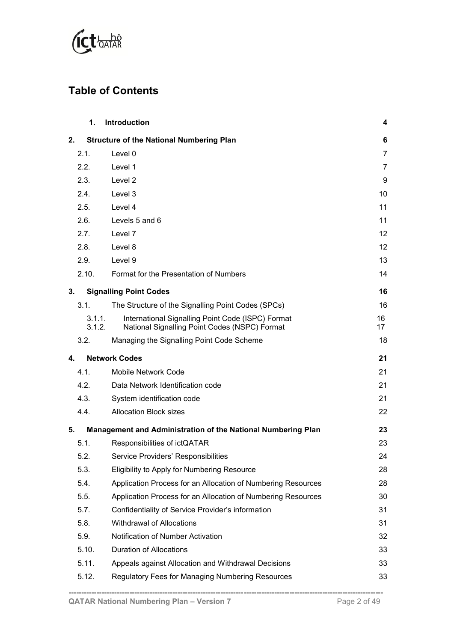

# **Table of Contents**

|    | 1.               | <b>Introduction</b>                                                                                | 4        |
|----|------------------|----------------------------------------------------------------------------------------------------|----------|
| 2. |                  | <b>Structure of the National Numbering Plan</b>                                                    | 6        |
|    | 2.1.             | Level 0                                                                                            | 7        |
|    | 2.2.             | Level 1                                                                                            | 7        |
|    | 2.3.             | Level 2                                                                                            | 9        |
|    | 2.4.             | Level 3                                                                                            | 10       |
|    | 2.5.             | Level 4                                                                                            | 11       |
|    | 2.6.             | Levels 5 and 6                                                                                     | 11       |
|    | 2.7.             | Level 7                                                                                            | 12       |
|    | 2.8.             | Level 8                                                                                            | 12       |
|    | 2.9.             | Level 9                                                                                            | 13       |
|    | 2.10.            | Format for the Presentation of Numbers                                                             | 14       |
| 3. |                  | <b>Signalling Point Codes</b>                                                                      | 16       |
|    | 3.1.             | The Structure of the Signalling Point Codes (SPCs)                                                 | 16       |
|    | 3.1.1.<br>3.1.2. | International Signalling Point Code (ISPC) Format<br>National Signalling Point Codes (NSPC) Format | 16<br>17 |
|    | 3.2.             | Managing the Signalling Point Code Scheme                                                          | 18       |
| 4. |                  | <b>Network Codes</b>                                                                               | 21       |
|    | 4.1.             | <b>Mobile Network Code</b>                                                                         | 21       |
|    |                  |                                                                                                    |          |
|    | 4.2.             | Data Network Identification code                                                                   | 21       |
|    | 4.3.             | System identification code                                                                         | 21       |
|    | 4.4.             | <b>Allocation Block sizes</b>                                                                      | 22       |
| 5. |                  | Management and Administration of the National Numbering Plan                                       | 23       |
|    | 5.1.             | Responsibilities of ictQATAR                                                                       | 23       |
|    | 5.2.             | Service Providers' Responsibilities                                                                | 24       |
|    | 5.3.             | Eligibility to Apply for Numbering Resource                                                        | 28       |
|    | 5.4.             | Application Process for an Allocation of Numbering Resources                                       | 28       |
|    | 5.5.             | Application Process for an Allocation of Numbering Resources                                       | 30       |
|    | 5.7.             | Confidentiality of Service Provider's information                                                  | 31       |
|    | 5.8.             | <b>Withdrawal of Allocations</b>                                                                   | 31       |
|    | 5.9.             | Notification of Number Activation                                                                  | 32       |
|    | 5.10.            | <b>Duration of Allocations</b>                                                                     | 33       |
|    | 5.11.            | Appeals against Allocation and Withdrawal Decisions                                                | 33       |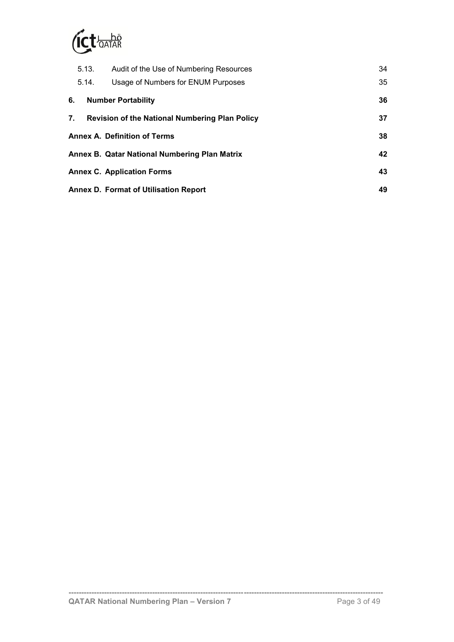

|    | 5.13. | Audit of the Use of Numbering Resources               | 34 |
|----|-------|-------------------------------------------------------|----|
|    | 5.14. | Usage of Numbers for ENUM Purposes                    | 35 |
| 6. |       | <b>Number Portability</b>                             | 36 |
| 7. |       | <b>Revision of the National Numbering Plan Policy</b> | 37 |
|    |       | <b>Annex A. Definition of Terms</b>                   | 38 |
|    |       | Annex B. Qatar National Numbering Plan Matrix         | 42 |
|    |       | <b>Annex C. Application Forms</b>                     | 43 |
|    |       | <b>Annex D. Format of Utilisation Report</b>          | 49 |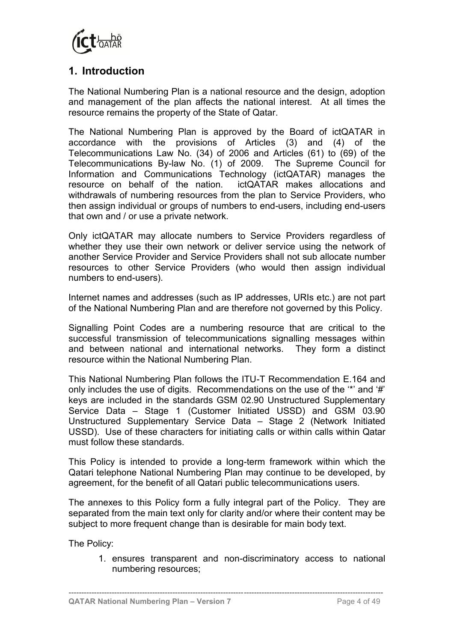

## <span id="page-13-0"></span>**1. Introduction**

The National Numbering Plan is a national resource and the design, adoption and management of the plan affects the national interest. At all times the resource remains the property of the State of Qatar.

The National Numbering Plan is approved by the Board of ictQATAR in accordance with the provisions of Articles (3) and (4) of the Telecommunications Law No. (34) of 2006 and Articles (61) to (69) of the Telecommunications By-law No. (1) of 2009. The Supreme Council for Information and Communications Technology (ictQATAR) manages the resource on behalf of the nation. ictQATAR makes allocations and withdrawals of numbering resources from the plan to Service Providers, who then assign individual or groups of numbers to end-users, including end-users that own and / or use a private network.

Only ictQATAR may allocate numbers to Service Providers regardless of whether they use their own network or deliver service using the network of another Service Provider and Service Providers shall not sub allocate number resources to other Service Providers (who would then assign individual numbers to end-users).

Internet names and addresses (such as IP addresses, URIs etc.) are not part of the National Numbering Plan and are therefore not governed by this Policy.

Signalling Point Codes are a numbering resource that are critical to the successful transmission of telecommunications signalling messages within and between national and international networks. They form a distinct resource within the National Numbering Plan.

This National Numbering Plan follows the ITU-T Recommendation E.164 and only includes the use of digits. Recommendations on the use of the '\*' and '#' keys are included in the standards GSM 02.90 Unstructured Supplementary Service Data – Stage 1 (Customer Initiated USSD) and GSM 03.90 Unstructured Supplementary Service Data – Stage 2 (Network Initiated USSD). Use of these characters for initiating calls or within calls within Qatar must follow these standards.

This Policy is intended to provide a long-term framework within which the Qatari telephone National Numbering Plan may continue to be developed, by agreement, for the benefit of all Qatari public telecommunications users.

The annexes to this Policy form a fully integral part of the Policy. They are separated from the main text only for clarity and/or where their content may be subject to more frequent change than is desirable for main body text.

The Policy:

1. ensures transparent and non-discriminatory access to national numbering resources;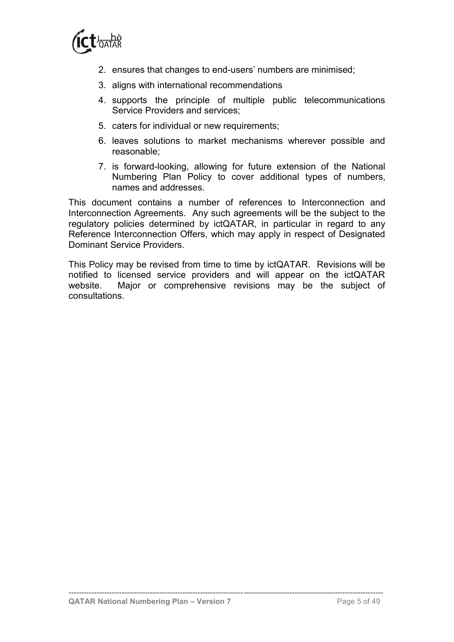

- 2. ensures that changes to end-users' numbers are minimised;
- 3. aligns with international recommendations
- 4. supports the principle of multiple public telecommunications Service Providers and services;
- 5. caters for individual or new requirements;
- 6. leaves solutions to market mechanisms wherever possible and reasonable;
- 7. is forward-looking, allowing for future extension of the National Numbering Plan Policy to cover additional types of numbers, names and addresses.

This document contains a number of references to Interconnection and Interconnection Agreements. Any such agreements will be the subject to the regulatory policies determined by ictQATAR, in particular in regard to any Reference Interconnection Offers, which may apply in respect of Designated Dominant Service Providers.

This Policy may be revised from time to time by ictQATAR. Revisions will be notified to licensed service providers and will appear on the ictQATAR website. Major or comprehensive revisions may be the subject of consultations.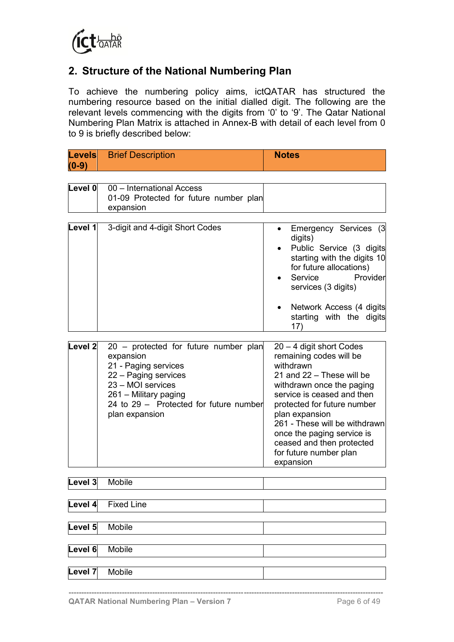

## <span id="page-15-0"></span>**2. Structure of the National Numbering Plan**

To achieve the numbering policy aims, ictQATAR has structured the numbering resource based on the initial dialled digit. The following are the relevant levels commencing with the digits from '0' to '9'. The Qatar National Numbering Plan Matrix is attached in Annex-B with detail of each level from 0 to 9 is briefly described below:

| Levels  | <b>Brief Description</b> | <b>Notes</b> |  |
|---------|--------------------------|--------------|--|
| $(0-9)$ |                          |              |  |

| Level 0            | 00 - International Access                                                                                                                                                                                    |                                                                                                                                                                                                             |
|--------------------|--------------------------------------------------------------------------------------------------------------------------------------------------------------------------------------------------------------|-------------------------------------------------------------------------------------------------------------------------------------------------------------------------------------------------------------|
|                    | 01-09 Protected for future number plan                                                                                                                                                                       |                                                                                                                                                                                                             |
|                    | expansion                                                                                                                                                                                                    |                                                                                                                                                                                                             |
|                    |                                                                                                                                                                                                              |                                                                                                                                                                                                             |
| Level 1            | 3-digit and 4-digit Short Codes                                                                                                                                                                              | Emergency Services (3)<br>digits)<br>Public Service (3 digits<br>starting with the digits 10<br>for future allocations)<br>Service<br>Provider<br>services (3 digits)<br>Network Access (4 digits           |
|                    |                                                                                                                                                                                                              | starting with the digits<br>17)                                                                                                                                                                             |
|                    |                                                                                                                                                                                                              |                                                                                                                                                                                                             |
| Level <sub>2</sub> | 20 – protected for future number plan<br>expansion<br>21 - Paging services<br>22 - Paging services<br>23 - MOI services<br>261 - Military paging<br>24 to 29 – Protected for future number<br>plan expansion | $20 - 4$ digit short Codes<br>remaining codes will be<br>withdrawn<br>21 and 22 - These will be<br>withdrawn once the paging<br>service is ceased and then<br>protected for future number<br>plan expansion |

|                   | for future number plan<br>expansion |
|-------------------|-------------------------------------|
| Mobile            |                                     |
| <b>Fixed Line</b> |                                     |
| Mobile            |                                     |
| Mobile            |                                     |
| Mobile            |                                     |
|                   |                                     |

**----------------------------------------------------------------------------------------------------------------------------**

261 - These will be withdrawn once the paging service is ceased and then protected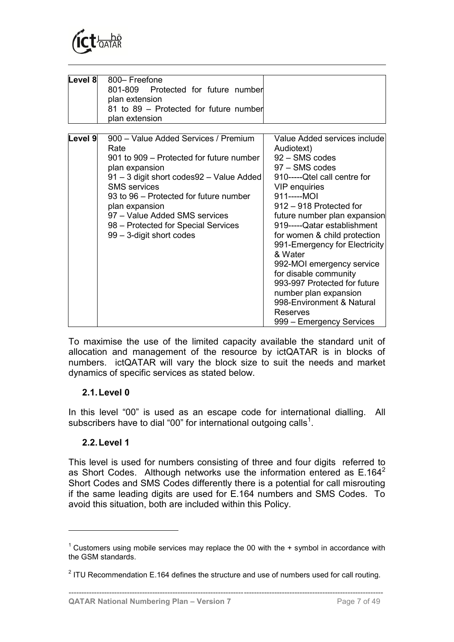

| Level 8 | 800– Freefone<br>Protected for future number<br>801-809<br>plan extension<br>81 to 89 – Protected for future number<br>plan extension                                                                                                                                                                                                         |                                                                                                                                                                                                                                                                                                                                                                                                                                                                                                          |
|---------|-----------------------------------------------------------------------------------------------------------------------------------------------------------------------------------------------------------------------------------------------------------------------------------------------------------------------------------------------|----------------------------------------------------------------------------------------------------------------------------------------------------------------------------------------------------------------------------------------------------------------------------------------------------------------------------------------------------------------------------------------------------------------------------------------------------------------------------------------------------------|
| Level 9 | 900 - Value Added Services / Premium<br>Rate<br>901 to 909 – Protected for future number<br>plan expansion<br>91 - 3 digit short codes92 - Value Added<br><b>SMS</b> services<br>93 to 96 – Protected for future number<br>plan expansion<br>97 - Value Added SMS services<br>98 – Protected for Special Services<br>99 - 3-digit short codes | Value Added services include<br>Audiotext)<br>92 - SMS codes<br>97 - SMS codes<br>910-----Qtel call centre for<br>VIP enquiries<br>911-----MOI<br>912 - 918 Protected for<br>future number plan expansion<br>919-----Qatar establishment<br>for women & child protection<br>991-Emergency for Electricity<br>& Water<br>992-MOI emergency service<br>for disable community<br>993-997 Protected for future<br>number plan expansion<br>998-Environment & Natural<br>Reserves<br>999 - Emergency Services |

To maximise the use of the limited capacity available the standard unit of allocation and management of the resource by ictQATAR is in blocks of numbers. ictQATAR will vary the block size to suit the needs and market dynamics of specific services as stated below.

#### <span id="page-16-0"></span>**2.1.Level 0**

In this level "00" is used as an escape code for international dialling. All subscribers have to dial "00" for international outgoing calls<sup>1</sup>.

#### <span id="page-16-1"></span>**2.2.Level 1**

 $\overline{a}$ 

This level is used for numbers consisting of three and four digits referred to as Short Codes. Although networks use the information entered as  $E.164<sup>2</sup>$ Short Codes and SMS Codes differently there is a potential for call misrouting if the same leading digits are used for E.164 numbers and SMS Codes. To avoid this situation, both are included within this Policy.

<sup>&</sup>lt;sup>1</sup> Customers using mobile services may replace the 00 with the  $+$  symbol in accordance with the GSM standards.

 $2$  ITU Recommendation E.164 defines the structure and use of numbers used for call routing.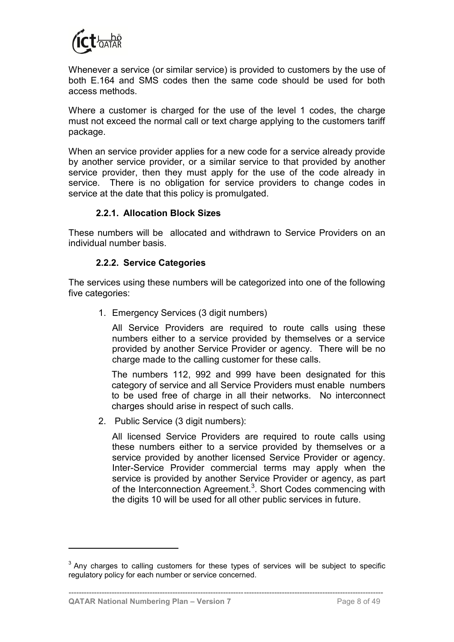

Whenever a service (or similar service) is provided to customers by the use of both E.164 and SMS codes then the same code should be used for both access methods.

Where a customer is charged for the use of the level 1 codes, the charge must not exceed the normal call or text charge applying to the customers tariff package.

When an service provider applies for a new code for a service already provide by another service provider, or a similar service to that provided by another service provider, then they must apply for the use of the code already in service. There is no obligation for service providers to change codes in service at the date that this policy is promulgated.

#### **2.2.1. Allocation Block Sizes**

These numbers will be allocated and withdrawn to Service Providers on an individual number basis.

### **2.2.2. Service Categories**

The services using these numbers will be categorized into one of the following five categories:

1. Emergency Services (3 digit numbers)

All Service Providers are required to route calls using these numbers either to a service provided by themselves or a service provided by another Service Provider or agency. There will be no charge made to the calling customer for these calls.

The numbers 112, 992 and 999 have been designated for this category of service and all Service Providers must enable numbers to be used free of charge in all their networks. No interconnect charges should arise in respect of such calls.

2. Public Service (3 digit numbers):

All licensed Service Providers are required to route calls using these numbers either to a service provided by themselves or a service provided by another licensed Service Provider or agency. Inter-Service Provider commercial terms may apply when the service is provided by another Service Provider or agency, as part of the Interconnection Agreement.<sup>3</sup>. Short Codes commencing with the digits 10 will be used for all other public services in future.

**----------------------------------------------------------------------------------------------------------------------------**

 $3$  Any charges to calling customers for these types of services will be subject to specific regulatory policy for each number or service concerned.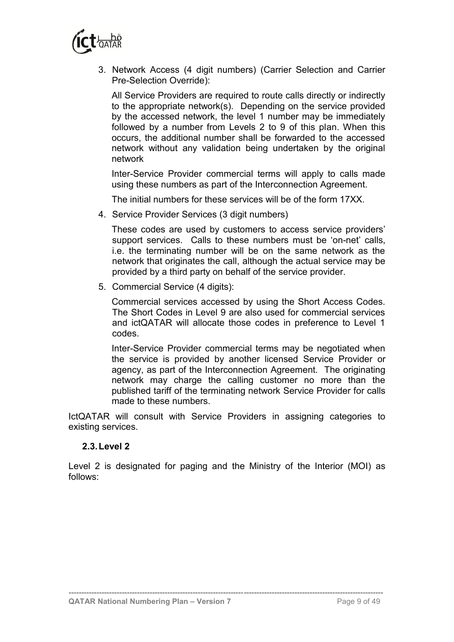

3. Network Access (4 digit numbers) (Carrier Selection and Carrier Pre-Selection Override):

All Service Providers are required to route calls directly or indirectly to the appropriate network(s). Depending on the service provided by the accessed network, the level 1 number may be immediately followed by a number from Levels 2 to 9 of this plan. When this occurs, the additional number shall be forwarded to the accessed network without any validation being undertaken by the original network

Inter-Service Provider commercial terms will apply to calls made using these numbers as part of the Interconnection Agreement.

The initial numbers for these services will be of the form 17XX.

4. Service Provider Services (3 digit numbers)

These codes are used by customers to access service providers' support services. Calls to these numbers must be 'on-net' calls, i.e. the terminating number will be on the same network as the network that originates the call, although the actual service may be provided by a third party on behalf of the service provider.

5. Commercial Service (4 digits):

Commercial services accessed by using the Short Access Codes. The Short Codes in Level 9 are also used for commercial services and ictQATAR will allocate those codes in preference to Level 1 codes.

Inter-Service Provider commercial terms may be negotiated when the service is provided by another licensed Service Provider or agency, as part of the Interconnection Agreement. The originating network may charge the calling customer no more than the published tariff of the terminating network Service Provider for calls made to these numbers.

IctQATAR will consult with Service Providers in assigning categories to existing services.

#### <span id="page-18-0"></span>**2.3.Level 2**

Level 2 is designated for paging and the Ministry of the Interior (MOI) as follows: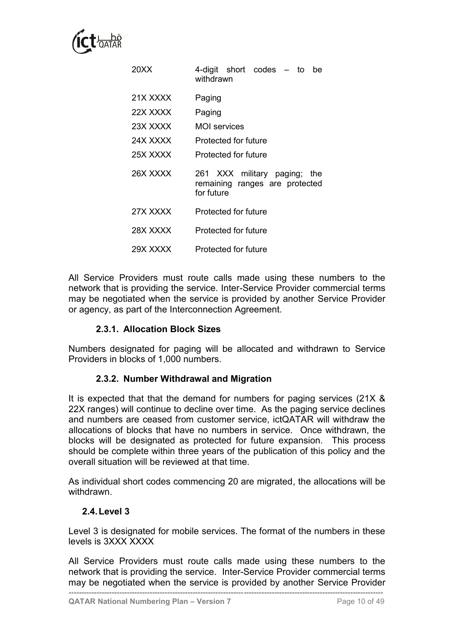

| 20XX     | 4-digit short codes<br>– to<br>be<br>withdrawn                                  |
|----------|---------------------------------------------------------------------------------|
| 21X XXXX | Paging                                                                          |
| 22X XXXX | Paging                                                                          |
| 23X XXXX | MOI services                                                                    |
| 24X XXXX | Protected for future                                                            |
| 25X XXXX | Protected for future                                                            |
| 26X XXXX | 261 XXX military paging;<br>the<br>remaining ranges are protected<br>for future |
| 27X XXXX | Protected for future                                                            |
| 28X XXXX | Protected for future                                                            |
| 29X XXXX | Protected for future                                                            |

All Service Providers must route calls made using these numbers to the network that is providing the service. Inter-Service Provider commercial terms may be negotiated when the service is provided by another Service Provider or agency, as part of the Interconnection Agreement.

#### **2.3.1. Allocation Block Sizes**

Numbers designated for paging will be allocated and withdrawn to Service Providers in blocks of 1,000 numbers.

#### **2.3.2. Number Withdrawal and Migration**

It is expected that that the demand for numbers for paging services (21X & 22X ranges) will continue to decline over time. As the paging service declines and numbers are ceased from customer service, ictQATAR will withdraw the allocations of blocks that have no numbers in service. Once withdrawn, the blocks will be designated as protected for future expansion. This process should be complete within three years of the publication of this policy and the overall situation will be reviewed at that time.

As individual short codes commencing 20 are migrated, the allocations will be withdrawn.

#### <span id="page-19-0"></span>**2.4.Level 3**

Level 3 is designated for mobile services. The format of the numbers in these levels is 3XXX XXXX

All Service Providers must route calls made using these numbers to the network that is providing the service. Inter-Service Provider commercial terms may be negotiated when the service is provided by another Service Provider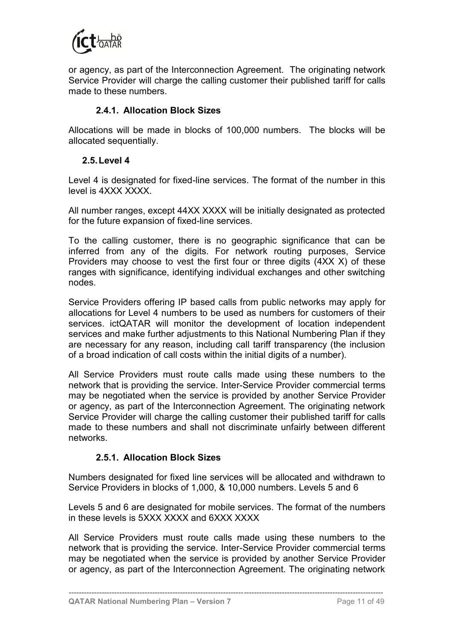

or agency, as part of the Interconnection Agreement. The originating network Service Provider will charge the calling customer their published tariff for calls made to these numbers.

#### **2.4.1. Allocation Block Sizes**

Allocations will be made in blocks of 100,000 numbers. The blocks will be allocated sequentially.

#### <span id="page-20-0"></span>**2.5.Level 4**

Level 4 is designated for fixed-line services. The format of the number in this level is 4XXX XXXX.

All number ranges, except 44XX XXXX will be initially designated as protected for the future expansion of fixed-line services.

To the calling customer, there is no geographic significance that can be inferred from any of the digits. For network routing purposes, Service Providers may choose to vest the first four or three digits (4XX X) of these ranges with significance, identifying individual exchanges and other switching nodes.

Service Providers offering IP based calls from public networks may apply for allocations for Level 4 numbers to be used as numbers for customers of their services. ictQATAR will monitor the development of location independent services and make further adjustments to this National Numbering Plan if they are necessary for any reason, including call tariff transparency (the inclusion of a broad indication of call costs within the initial digits of a number).

All Service Providers must route calls made using these numbers to the network that is providing the service. Inter-Service Provider commercial terms may be negotiated when the service is provided by another Service Provider or agency, as part of the Interconnection Agreement. The originating network Service Provider will charge the calling customer their published tariff for calls made to these numbers and shall not discriminate unfairly between different networks.

#### <span id="page-20-1"></span>**2.5.1. Allocation Block Sizes**

Numbers designated for fixed line services will be allocated and withdrawn to Service Providers in blocks of 1,000, & 10,000 numbers. Levels 5 and 6

Levels 5 and 6 are designated for mobile services. The format of the numbers in these levels is 5XXX XXXX and 6XXX XXXX

All Service Providers must route calls made using these numbers to the network that is providing the service. Inter-Service Provider commercial terms may be negotiated when the service is provided by another Service Provider or agency, as part of the Interconnection Agreement. The originating network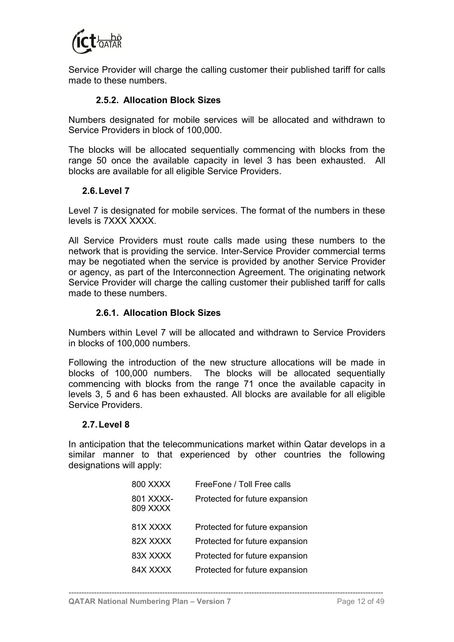

Service Provider will charge the calling customer their published tariff for calls made to these numbers.

### **2.5.2. Allocation Block Sizes**

Numbers designated for mobile services will be allocated and withdrawn to Service Providers in block of 100,000.

The blocks will be allocated sequentially commencing with blocks from the range 50 once the available capacity in level 3 has been exhausted. All blocks are available for all eligible Service Providers.

#### <span id="page-21-0"></span>**2.6.Level 7**

Level 7 is designated for mobile services. The format of the numbers in these levels is 7XXX XXXX.

All Service Providers must route calls made using these numbers to the network that is providing the service. Inter-Service Provider commercial terms may be negotiated when the service is provided by another Service Provider or agency, as part of the Interconnection Agreement. The originating network Service Provider will charge the calling customer their published tariff for calls made to these numbers.

#### **2.6.1. Allocation Block Sizes**

Numbers within Level 7 will be allocated and withdrawn to Service Providers in blocks of 100,000 numbers.

Following the introduction of the new structure allocations will be made in blocks of 100,000 numbers. The blocks will be allocated sequentially commencing with blocks from the range 71 once the available capacity in levels 3, 5 and 6 has been exhausted. All blocks are available for all eligible Service Providers.

#### <span id="page-21-1"></span>**2.7.Level 8**

In anticipation that the telecommunications market within Qatar develops in a similar manner to that experienced by other countries the following designations will apply:

| 800 XXXX              | FreeFone / Toll Free calls     |
|-----------------------|--------------------------------|
| 801 XXXX-<br>809 XXXX | Protected for future expansion |
| 81X XXXX              | Protected for future expansion |
| 82X XXXX              | Protected for future expansion |
| 83X XXXX              | Protected for future expansion |
| 84X XXXX              | Protected for future expansion |
|                       |                                |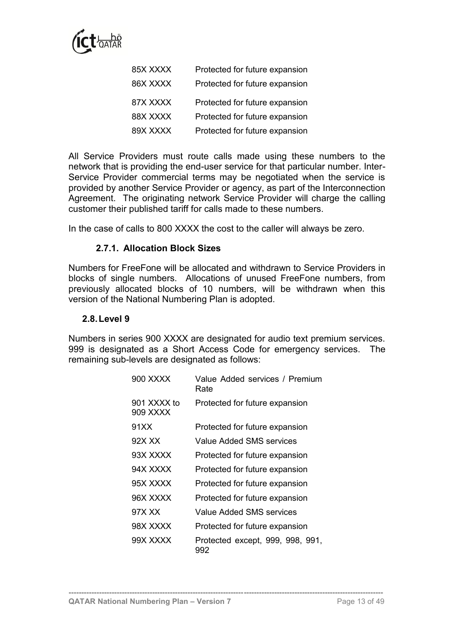

| 85X XXXX | Protected for future expansion |
|----------|--------------------------------|
| 86X XXXX | Protected for future expansion |
| 87X XXXX | Protected for future expansion |
| 88X XXXX | Protected for future expansion |
| 89X XXXX | Protected for future expansion |

All Service Providers must route calls made using these numbers to the network that is providing the end-user service for that particular number. Inter-Service Provider commercial terms may be negotiated when the service is provided by another Service Provider or agency, as part of the Interconnection Agreement. The originating network Service Provider will charge the calling customer their published tariff for calls made to these numbers.

In the case of calls to 800 XXXX the cost to the caller will always be zero.

#### **2.7.1. Allocation Block Sizes**

Numbers for FreeFone will be allocated and withdrawn to Service Providers in blocks of single numbers. Allocations of unused FreeFone numbers, from previously allocated blocks of 10 numbers, will be withdrawn when this version of the National Numbering Plan is adopted.

#### <span id="page-22-0"></span>**2.8.Level 9**

Numbers in series 900 XXXX are designated for audio text premium services. 999 is designated as a Short Access Code for emergency services. The remaining sub-levels are designated as follows:

| 900 XXXX                | Value Added services / Premium<br>Rate  |
|-------------------------|-----------------------------------------|
| 901 XXXX to<br>909 XXXX | Protected for future expansion          |
| 91 X X                  | Protected for future expansion          |
| 92X XX                  | Value Added SMS services                |
| 93X XXXX                | Protected for future expansion          |
| 94X XXXX                | Protected for future expansion          |
| 95X XXXX                | Protected for future expansion          |
| 96X XXXX                | Protected for future expansion          |
| 97X XX                  | Value Added SMS services                |
| 98X XXXX                | Protected for future expansion          |
| 99X XXXX                | Protected except, 999, 998, 991,<br>992 |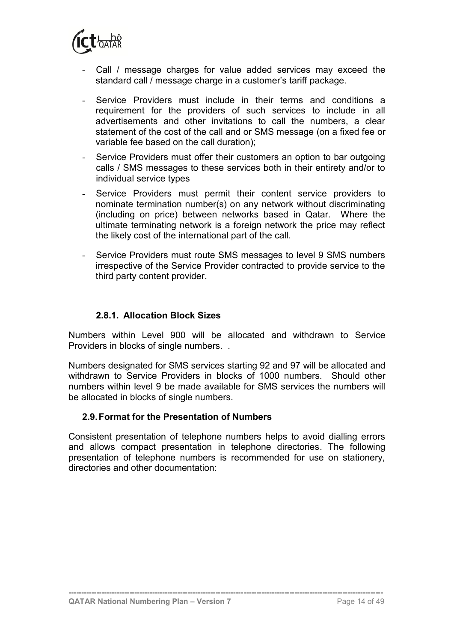

- Call / message charges for value added services may exceed the standard call / message charge in a customer's tariff package.
- Service Providers must include in their terms and conditions a requirement for the providers of such services to include in all advertisements and other invitations to call the numbers, a clear statement of the cost of the call and or SMS message (on a fixed fee or variable fee based on the call duration);
- Service Providers must offer their customers an option to bar outgoing calls / SMS messages to these services both in their entirety and/or to individual service types
- Service Providers must permit their content service providers to nominate termination number(s) on any network without discriminating (including on price) between networks based in Qatar. Where the ultimate terminating network is a foreign network the price may reflect the likely cost of the international part of the call.
- Service Providers must route SMS messages to level 9 SMS numbers irrespective of the Service Provider contracted to provide service to the third party content provider.

### **2.8.1. Allocation Block Sizes**

Numbers within Level 900 will be allocated and withdrawn to Service Providers in blocks of single numbers. .

Numbers designated for SMS services starting 92 and 97 will be allocated and withdrawn to Service Providers in blocks of 1000 numbers. Should other numbers within level 9 be made available for SMS services the numbers will be allocated in blocks of single numbers.

#### <span id="page-23-0"></span>**2.9.Format for the Presentation of Numbers**

Consistent presentation of telephone numbers helps to avoid dialling errors and allows compact presentation in telephone directories. The following presentation of telephone numbers is recommended for use on stationery, directories and other documentation: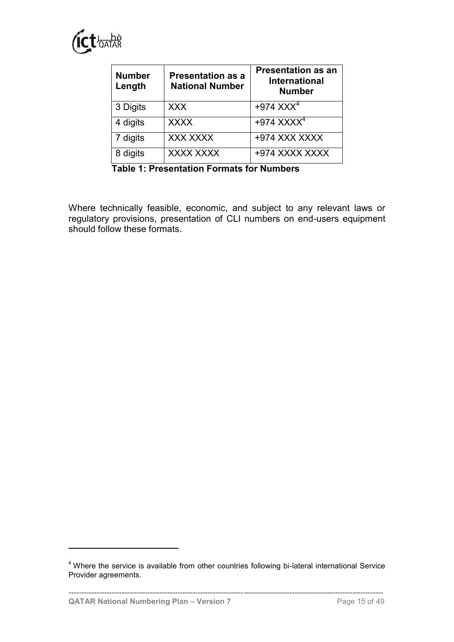

<span id="page-24-0"></span>

| <b>Number</b><br>Length | <b>Presentation as a</b><br><b>National Number</b> | <b>Presentation as an</b><br><b>International</b><br><b>Number</b> |  |  |
|-------------------------|----------------------------------------------------|--------------------------------------------------------------------|--|--|
| 3 Digits                | <b>XXX</b>                                         | $+974$ XXX <sup>4</sup>                                            |  |  |
| 4 digits                | <b>XXXX</b>                                        | $+974$ XXXX <sup>4</sup>                                           |  |  |
| 7 digits                | <b>XXX XXXX</b>                                    | +974 XXX XXXX                                                      |  |  |
| 8 digits                | XXXX XXXX                                          | +974 XXXX XXXX                                                     |  |  |

**Table 1: Presentation Formats for Numbers**

Where technically feasible, economic, and subject to any relevant laws or regulatory provisions, presentation of CLI numbers on end-users equipment should follow these formats.

**----------------------------------------------------------------------------------------------------------------------------**

<sup>&</sup>lt;sup>4</sup> Where the service is available from other countries following bi-lateral international Service Provider agreements.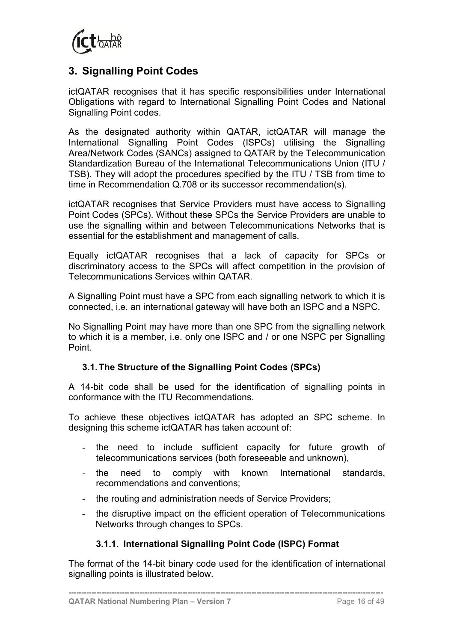

## <span id="page-25-0"></span>**3. Signalling Point Codes**

ictQATAR recognises that it has specific responsibilities under International Obligations with regard to International Signalling Point Codes and National Signalling Point codes.

As the designated authority within QATAR, ictQATAR will manage the International Signalling Point Codes (ISPCs) utilising the Signalling Area/Network Codes (SANCs) assigned to QATAR by the Telecommunication Standardization Bureau of the International Telecommunications Union (ITU / TSB). They will adopt the procedures specified by the ITU / TSB from time to time in Recommendation Q.708 or its successor recommendation(s).

ictQATAR recognises that Service Providers must have access to Signalling Point Codes (SPCs). Without these SPCs the Service Providers are unable to use the signalling within and between Telecommunications Networks that is essential for the establishment and management of calls.

Equally ictQATAR recognises that a lack of capacity for SPCs or discriminatory access to the SPCs will affect competition in the provision of Telecommunications Services within QATAR.

A Signalling Point must have a SPC from each signalling network to which it is connected, i.e. an international gateway will have both an ISPC and a NSPC.

No Signalling Point may have more than one SPC from the signalling network to which it is a member, i.e. only one ISPC and / or one NSPC per Signalling Point.

#### <span id="page-25-1"></span>**3.1.The Structure of the Signalling Point Codes (SPCs)**

A 14-bit code shall be used for the identification of signalling points in conformance with the ITU Recommendations.

To achieve these objectives ictQATAR has adopted an SPC scheme. In designing this scheme ictQATAR has taken account of:

- the need to include sufficient capacity for future growth of telecommunications services (both foreseeable and unknown),
- the need to comply with known International standards, recommendations and conventions;
- the routing and administration needs of Service Providers;
- the disruptive impact on the efficient operation of Telecommunications Networks through changes to SPCs.

### **3.1.1. International Signalling Point Code (ISPC) Format**

<span id="page-25-2"></span>The format of the 14-bit binary code used for the identification of international signalling points is illustrated below.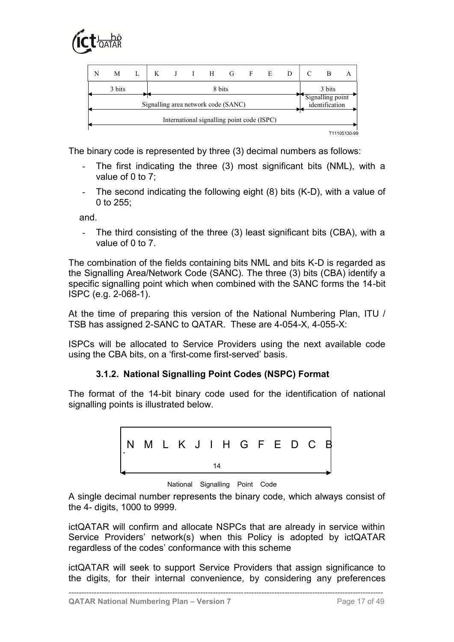



The binary code is represented by three (3) decimal numbers as follows:

- The first indicating the three (3) most significant bits (NML), with a value of 0 to 7;
- The second indicating the following eight (8) bits (K-D), with a value of 0 to 255;

and.

- The third consisting of the three (3) least significant bits (CBA), with a value of 0 to 7.

The combination of the fields containing bits NML and bits K-D is regarded as the Signalling Area/Network Code (SANC). The three (3) bits (CBA) identify a specific signalling point which when combined with the SANC forms the 14-bit ISPC (e.g. 2-068-1).

At the time of preparing this version of the National Numbering Plan, ITU / TSB has assigned 2-SANC to QATAR. These are 4-054-X, 4-055-X:

ISPCs will be allocated to Service Providers using the next available code using the CBA bits, on a 'first-come first-served' basis.

#### **3.1.2. National Signalling Point Codes (NSPC) Format**

<span id="page-26-0"></span>The format of the 14-bit binary code used for the identification of national signalling points is illustrated below.



National Signalling Point Code

A single decimal number represents the binary code, which always consist of the 4- digits, 1000 to 9999.

ictQATAR will confirm and allocate NSPCs that are already in service within Service Providers' network(s) when this Policy is adopted by ictQATAR regardless of the codes' conformance with this scheme

ictQATAR will seek to support Service Providers that assign significance to the digits, for their internal convenience, by considering any preferences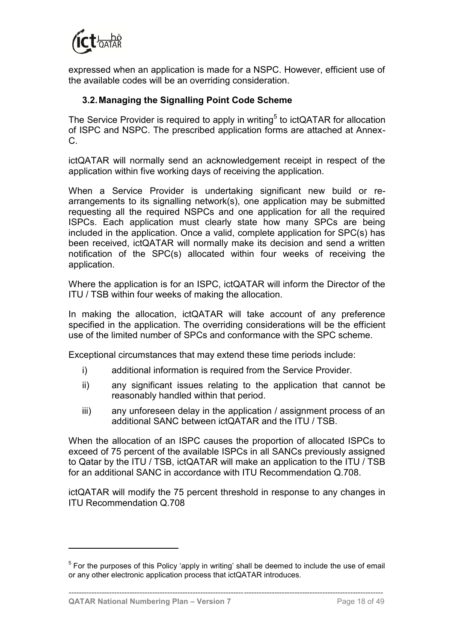

expressed when an application is made for a NSPC. However, efficient use of the available codes will be an overriding consideration.

### <span id="page-27-0"></span>**3.2.Managing the Signalling Point Code Scheme**

The Service Provider is required to apply in writing<sup>5</sup> to ictQATAR for allocation of ISPC and NSPC. The prescribed application forms are attached at Annex-C.

ictQATAR will normally send an acknowledgement receipt in respect of the application within five working days of receiving the application.

When a Service Provider is undertaking significant new build or rearrangements to its signalling network(s), one application may be submitted requesting all the required NSPCs and one application for all the required ISPCs. Each application must clearly state how many SPCs are being included in the application. Once a valid, complete application for SPC(s) has been received, ictQATAR will normally make its decision and send a written notification of the SPC(s) allocated within four weeks of receiving the application.

Where the application is for an ISPC, ictQATAR will inform the Director of the ITU / TSB within four weeks of making the allocation.

In making the allocation, ictQATAR will take account of any preference specified in the application. The overriding considerations will be the efficient use of the limited number of SPCs and conformance with the SPC scheme.

Exceptional circumstances that may extend these time periods include:

- i) additional information is required from the Service Provider.
- ii) any significant issues relating to the application that cannot be reasonably handled within that period.
- iii) any unforeseen delay in the application / assignment process of an additional SANC between ictQATAR and the ITU / TSB.

When the allocation of an ISPC causes the proportion of allocated ISPCs to exceed of 75 percent of the available ISPCs in all SANCs previously assigned to Qatar by the ITU / TSB, ictQATAR will make an application to the ITU / TSB for an additional SANC in accordance with ITU Recommendation Q.708.

ictQATAR will modify the 75 percent threshold in response to any changes in ITU Recommendation Q.708

**----------------------------------------------------------------------------------------------------------------------------**

 $5$  For the purposes of this Policy 'apply in writing' shall be deemed to include the use of email or any other electronic application process that ictQATAR introduces.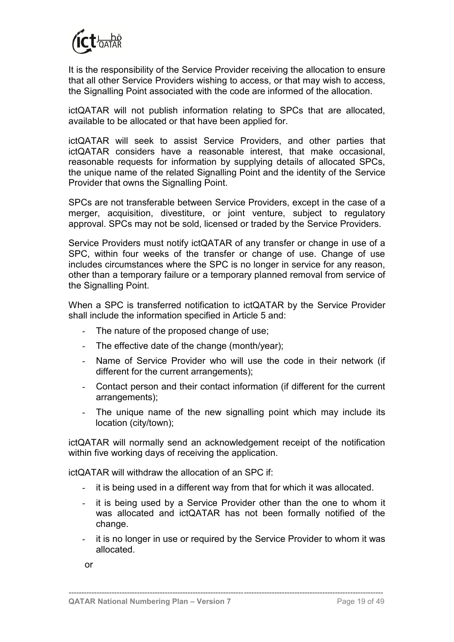

It is the responsibility of the Service Provider receiving the allocation to ensure that all other Service Providers wishing to access, or that may wish to access, the Signalling Point associated with the code are informed of the allocation.

ictQATAR will not publish information relating to SPCs that are allocated, available to be allocated or that have been applied for.

ictQATAR will seek to assist Service Providers, and other parties that ictQATAR considers have a reasonable interest, that make occasional, reasonable requests for information by supplying details of allocated SPCs, the unique name of the related Signalling Point and the identity of the Service Provider that owns the Signalling Point.

SPCs are not transferable between Service Providers, except in the case of a merger, acquisition, divestiture, or joint venture, subject to regulatory approval. SPCs may not be sold, licensed or traded by the Service Providers.

Service Providers must notify ictQATAR of any transfer or change in use of a SPC, within four weeks of the transfer or change of use. Change of use includes circumstances where the SPC is no longer in service for any reason, other than a temporary failure or a temporary planned removal from service of the Signalling Point.

When a SPC is transferred notification to ictQATAR by the Service Provider shall include the information specified in Article 5 and:

- The nature of the proposed change of use;
- The effective date of the change (month/year);
- Name of Service Provider who will use the code in their network (if different for the current arrangements);
- Contact person and their contact information (if different for the current arrangements);
- The unique name of the new signalling point which may include its location (city/town);

ictQATAR will normally send an acknowledgement receipt of the notification within five working days of receiving the application.

ictQATAR will withdraw the allocation of an SPC if:

- it is being used in a different way from that for which it was allocated.
- it is being used by a Service Provider other than the one to whom it was allocated and ictQATAR has not been formally notified of the change.
- it is no longer in use or required by the Service Provider to whom it was allocated.

**----------------------------------------------------------------------------------------------------------------------------**

or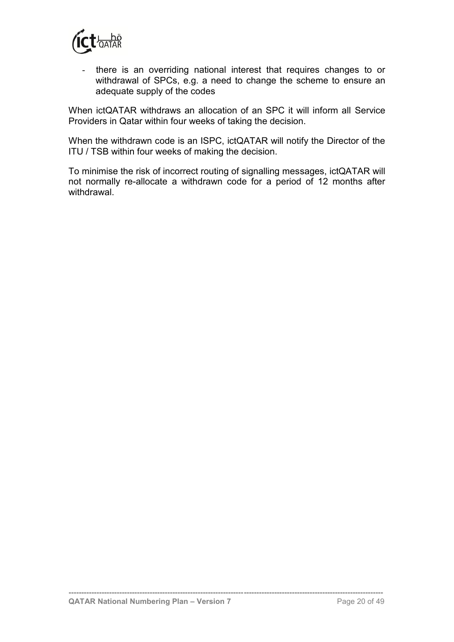

- there is an overriding national interest that requires changes to or withdrawal of SPCs, e.g. a need to change the scheme to ensure an adequate supply of the codes

When ictQATAR withdraws an allocation of an SPC it will inform all Service Providers in Qatar within four weeks of taking the decision.

When the withdrawn code is an ISPC, ictQATAR will notify the Director of the ITU / TSB within four weeks of making the decision.

To minimise the risk of incorrect routing of signalling messages, ictQATAR will not normally re-allocate a withdrawn code for a period of 12 months after withdrawal.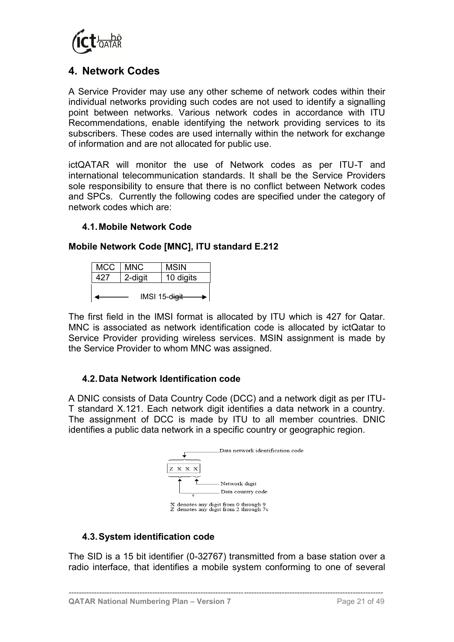

## <span id="page-30-0"></span>**4. Network Codes**

A Service Provider may use any other scheme of network codes within their individual networks providing such codes are not used to identify a signalling point between networks. Various network codes in accordance with ITU Recommendations, enable identifying the network providing services to its subscribers. These codes are used internally within the network for exchange of information and are not allocated for public use.

ictQATAR will monitor the use of Network codes as per ITU-T and international telecommunication standards. It shall be the Service Providers sole responsibility to ensure that there is no conflict between Network codes and SPCs. Currently the following codes are specified under the category of network codes which are:

#### <span id="page-30-1"></span>**4.1.Mobile Network Code**

### **Mobile Network Code [MNC], ITU standard E.212**

| <b>MCC</b> | MNC.    | <b>MSIN</b>   |  |  |
|------------|---------|---------------|--|--|
| 427        | 2-digit | 10 digits     |  |  |
|            |         |               |  |  |
|            |         | IMSI 15-digit |  |  |

The first field in the IMSI format is allocated by ITU which is 427 for Qatar. MNC is associated as network identification code is allocated by ictQatar to Service Provider providing wireless services. MSIN assignment is made by the Service Provider to whom MNC was assigned.

### <span id="page-30-2"></span>**4.2.Data Network Identification code**

A DNIC consists of Data Country Code (DCC) and a network digit as per ITU-T standard X.121. Each network digit identifies a data network in a country. The assignment of DCC is made by ITU to all member countries. DNIC identifies a public data network in a specific country or geographic region.



### <span id="page-30-3"></span>**4.3.System identification code**

The SID is a 15 bit identifier (0-32767) transmitted from a base station over a radio interface, that identifies a mobile system conforming to one of several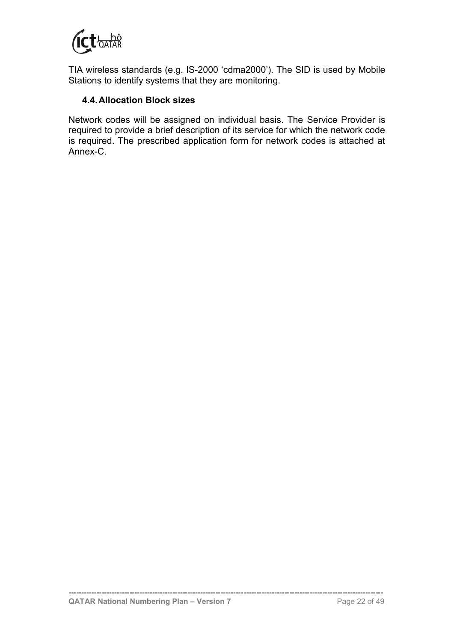

TIA wireless standards (e.g. IS-2000 'cdma2000'). The SID is used by Mobile Stations to identify systems that they are monitoring.

### <span id="page-31-0"></span>**4.4.Allocation Block sizes**

Network codes will be assigned on individual basis. The Service Provider is required to provide a brief description of its service for which the network code is required. The prescribed application form for network codes is attached at Annex-C.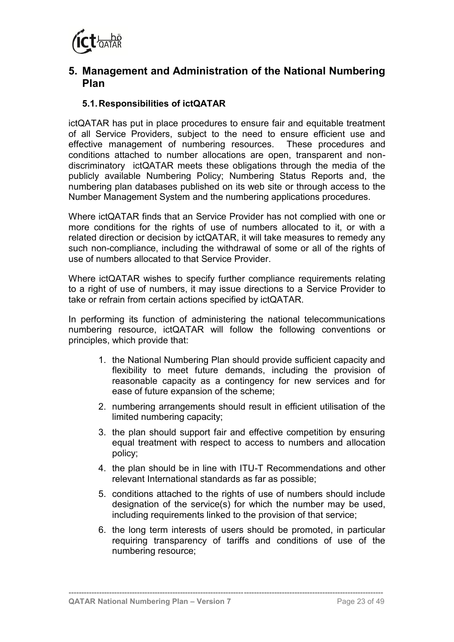

## <span id="page-32-0"></span>**5. Management and Administration of the National Numbering Plan**

## <span id="page-32-1"></span>**5.1.Responsibilities of ictQATAR**

ictQATAR has put in place procedures to ensure fair and equitable treatment of all Service Providers, subject to the need to ensure efficient use and effective management of numbering resources. These procedures and conditions attached to number allocations are open, transparent and nondiscriminatory ictQATAR meets these obligations through the media of the publicly available Numbering Policy; Numbering Status Reports and, the numbering plan databases published on its web site or through access to the Number Management System and the numbering applications procedures.

Where ictQATAR finds that an Service Provider has not complied with one or more conditions for the rights of use of numbers allocated to it, or with a related direction or decision by ictQATAR, it will take measures to remedy any such non-compliance, including the withdrawal of some or all of the rights of use of numbers allocated to that Service Provider.

Where ictQATAR wishes to specify further compliance requirements relating to a right of use of numbers, it may issue directions to a Service Provider to take or refrain from certain actions specified by ictQATAR.

In performing its function of administering the national telecommunications numbering resource, ictQATAR will follow the following conventions or principles, which provide that:

- 1. the National Numbering Plan should provide sufficient capacity and flexibility to meet future demands, including the provision of reasonable capacity as a contingency for new services and for ease of future expansion of the scheme;
- 2. numbering arrangements should result in efficient utilisation of the limited numbering capacity;
- 3. the plan should support fair and effective competition by ensuring equal treatment with respect to access to numbers and allocation policy;
- 4. the plan should be in line with ITU-T Recommendations and other relevant International standards as far as possible;
- 5. conditions attached to the rights of use of numbers should include designation of the service(s) for which the number may be used, including requirements linked to the provision of that service;
- 6. the long term interests of users should be promoted, in particular requiring transparency of tariffs and conditions of use of the numbering resource;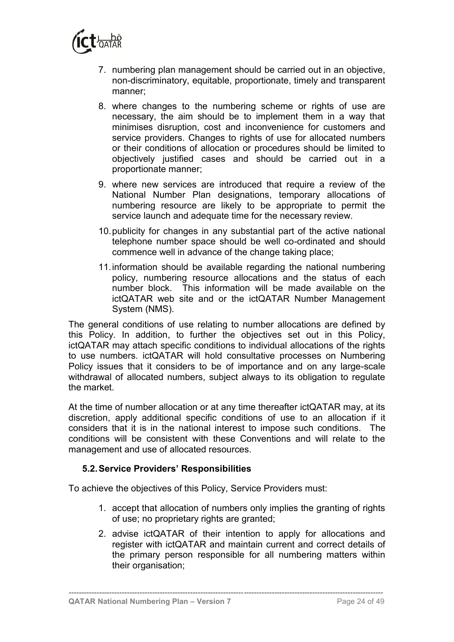

- 7. numbering plan management should be carried out in an objective, non-discriminatory, equitable, proportionate, timely and transparent manner;
- 8. where changes to the numbering scheme or rights of use are necessary, the aim should be to implement them in a way that minimises disruption, cost and inconvenience for customers and service providers. Changes to rights of use for allocated numbers or their conditions of allocation or procedures should be limited to objectively justified cases and should be carried out in a proportionate manner;
- 9. where new services are introduced that require a review of the National Number Plan designations, temporary allocations of numbering resource are likely to be appropriate to permit the service launch and adequate time for the necessary review.
- 10.publicity for changes in any substantial part of the active national telephone number space should be well co-ordinated and should commence well in advance of the change taking place;
- 11.information should be available regarding the national numbering policy, numbering resource allocations and the status of each number block. This information will be made available on the ictQATAR web site and or the ictQATAR Number Management System (NMS).

The general conditions of use relating to number allocations are defined by this Policy. In addition, to further the objectives set out in this Policy, ictQATAR may attach specific conditions to individual allocations of the rights to use numbers. ictQATAR will hold consultative processes on Numbering Policy issues that it considers to be of importance and on any large-scale withdrawal of allocated numbers, subject always to its obligation to regulate the market.

At the time of number allocation or at any time thereafter ictQATAR may, at its discretion, apply additional specific conditions of use to an allocation if it considers that it is in the national interest to impose such conditions. The conditions will be consistent with these Conventions and will relate to the management and use of allocated resources.

### <span id="page-33-0"></span>**5.2.Service Providers' Responsibilities**

To achieve the objectives of this Policy, Service Providers must:

- 1. accept that allocation of numbers only implies the granting of rights of use; no proprietary rights are granted;
- 2. advise ictQATAR of their intention to apply for allocations and register with ictQATAR and maintain current and correct details of the primary person responsible for all numbering matters within their organisation;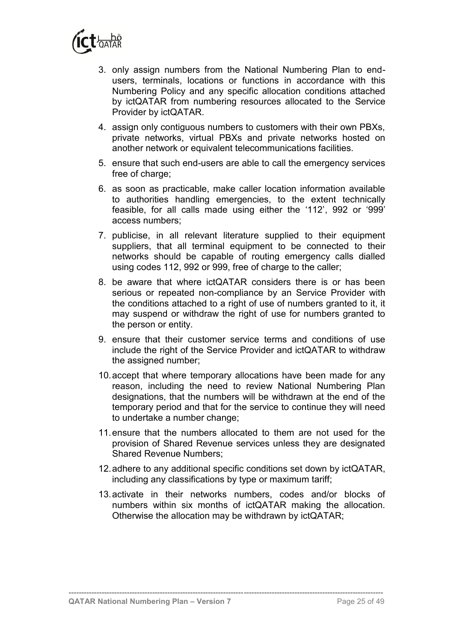

- 3. only assign numbers from the National Numbering Plan to endusers, terminals, locations or functions in accordance with this Numbering Policy and any specific allocation conditions attached by ictQATAR from numbering resources allocated to the Service Provider by ictQATAR.
- 4. assign only contiguous numbers to customers with their own PBXs, private networks, virtual PBXs and private networks hosted on another network or equivalent telecommunications facilities.
- 5. ensure that such end-users are able to call the emergency services free of charge;
- 6. as soon as practicable, make caller location information available to authorities handling emergencies, to the extent technically feasible, for all calls made using either the '112', 992 or '999' access numbers;
- 7. publicise, in all relevant literature supplied to their equipment suppliers, that all terminal equipment to be connected to their networks should be capable of routing emergency calls dialled using codes 112, 992 or 999, free of charge to the caller;
- 8. be aware that where ictQATAR considers there is or has been serious or repeated non-compliance by an Service Provider with the conditions attached to a right of use of numbers granted to it, it may suspend or withdraw the right of use for numbers granted to the person or entity.
- 9. ensure that their customer service terms and conditions of use include the right of the Service Provider and ictQATAR to withdraw the assigned number;
- 10.accept that where temporary allocations have been made for any reason, including the need to review National Numbering Plan designations, that the numbers will be withdrawn at the end of the temporary period and that for the service to continue they will need to undertake a number change;
- 11.ensure that the numbers allocated to them are not used for the provision of Shared Revenue services unless they are designated Shared Revenue Numbers;
- 12.adhere to any additional specific conditions set down by ictQATAR, including any classifications by type or maximum tariff;
- 13.activate in their networks numbers, codes and/or blocks of numbers within six months of ictQATAR making the allocation. Otherwise the allocation may be withdrawn by ictQATAR;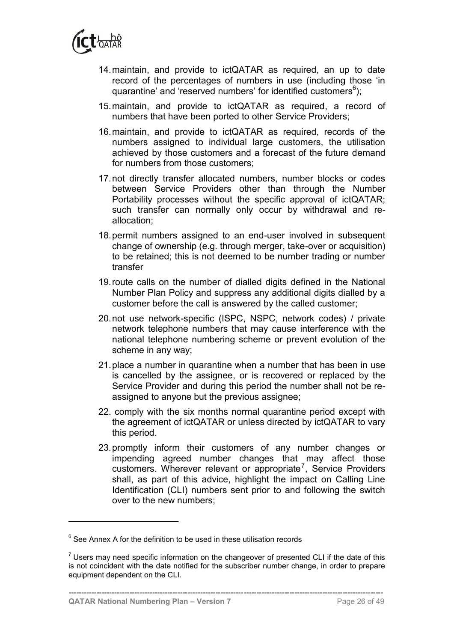

- 14.maintain, and provide to ictQATAR as required, an up to date record of the percentages of numbers in use (including those 'in quarantine' and 'reserved numbers' for identified customers<sup>6</sup>);
- 15.maintain, and provide to ictQATAR as required, a record of numbers that have been ported to other Service Providers;
- 16.maintain, and provide to ictQATAR as required, records of the numbers assigned to individual large customers, the utilisation achieved by those customers and a forecast of the future demand for numbers from those customers;
- 17.not directly transfer allocated numbers, number blocks or codes between Service Providers other than through the Number Portability processes without the specific approval of ictQATAR; such transfer can normally only occur by withdrawal and reallocation;
- 18.permit numbers assigned to an end-user involved in subsequent change of ownership (e.g. through merger, take-over or acquisition) to be retained; this is not deemed to be number trading or number transfer
- 19.route calls on the number of dialled digits defined in the National Number Plan Policy and suppress any additional digits dialled by a customer before the call is answered by the called customer;
- 20.not use network-specific (ISPC, NSPC, network codes) / private network telephone numbers that may cause interference with the national telephone numbering scheme or prevent evolution of the scheme in any way;
- 21.place a number in quarantine when a number that has been in use is cancelled by the assignee, or is recovered or replaced by the Service Provider and during this period the number shall not be reassigned to anyone but the previous assignee;
- 22. comply with the six months normal quarantine period except with the agreement of ictQATAR or unless directed by ictQATAR to vary this period.
- 23.promptly inform their customers of any number changes or impending agreed number changes that may affect those customers. Wherever relevant or appropriate<sup>7</sup>, Service Providers shall, as part of this advice, highlight the impact on Calling Line Identification (CLI) numbers sent prior to and following the switch over to the new numbers;

**----------------------------------------------------------------------------------------------------------------------------**

 $6$  See Annex A for the definition to be used in these utilisation records

 $7$  Users may need specific information on the changeover of presented CLI if the date of this is not coincident with the date notified for the subscriber number change, in order to prepare equipment dependent on the CLI.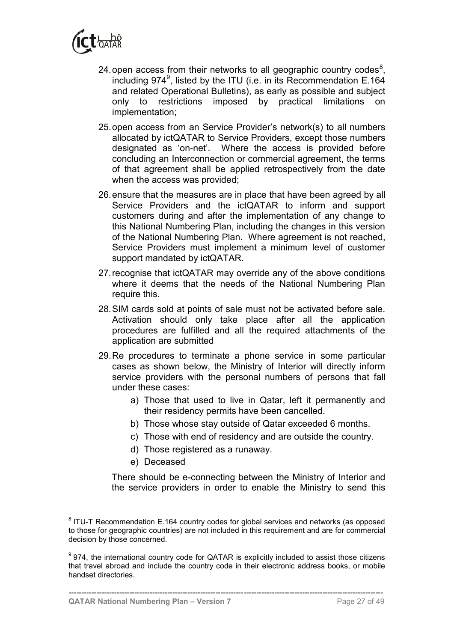

- 24 open access from their networks to all geographic country codes $^8$ , including 974<sup>9</sup>, listed by the ITU (i.e. in its Recommendation E.164 and related Operational Bulletins), as early as possible and subject only to restrictions imposed by practical limitations on implementation;
- 25.open access from an Service Provider's network(s) to all numbers allocated by ictQATAR to Service Providers, except those numbers designated as 'on-net'. Where the access is provided before concluding an Interconnection or commercial agreement, the terms of that agreement shall be applied retrospectively from the date when the access was provided;
- 26.ensure that the measures are in place that have been agreed by all Service Providers and the ictQATAR to inform and support customers during and after the implementation of any change to this National Numbering Plan, including the changes in this version of the National Numbering Plan. Where agreement is not reached, Service Providers must implement a minimum level of customer support mandated by ictQATAR.
- 27.recognise that ictQATAR may override any of the above conditions where it deems that the needs of the National Numbering Plan require this.
- 28.SIM cards sold at points of sale must not be activated before sale. Activation should only take place after all the application procedures are fulfilled and all the required attachments of the application are submitted
- 29.Re procedures to terminate a phone service in some particular cases as shown below, the Ministry of Interior will directly inform service providers with the personal numbers of persons that fall under these cases:
	- a) Those that used to live in Qatar, left it permanently and their residency permits have been cancelled.
	- b) Those whose stay outside of Qatar exceeded 6 months.
	- c) Those with end of residency and are outside the country.
	- d) Those registered as a runaway.
	- e) Deceased

 $\overline{a}$ 

There should be e-connecting between the Ministry of Interior and the service providers in order to enable the Ministry to send this

 $8$  ITU-T Recommendation E.164 country codes for global services and networks (as opposed to those for geographic countries) are not included in this requirement and are for commercial decision by those concerned.

 $9$  974, the international country code for QATAR is explicitly included to assist those citizens that travel abroad and include the country code in their electronic address books, or mobile handset directories.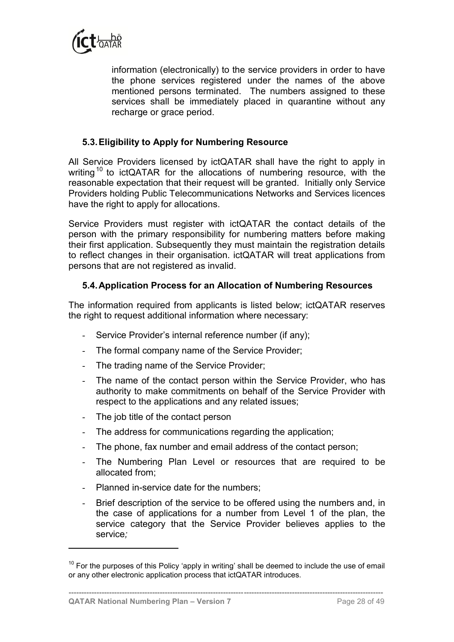

information (electronically) to the service providers in order to have the phone services registered under the names of the above mentioned persons terminated. The numbers assigned to these services shall be immediately placed in quarantine without any recharge or grace period.

### <span id="page-37-0"></span>**5.3.Eligibility to Apply for Numbering Resource**

All Service Providers licensed by ictQATAR shall have the right to apply in writing<sup>10</sup> to ictQATAR for the allocations of numbering resource, with the reasonable expectation that their request will be granted. Initially only Service Providers holding Public Telecommunications Networks and Services licences have the right to apply for allocations.

Service Providers must register with ictQATAR the contact details of the person with the primary responsibility for numbering matters before making their first application. Subsequently they must maintain the registration details to reflect changes in their organisation. ictQATAR will treat applications from persons that are not registered as invalid.

#### <span id="page-37-1"></span>**5.4.Application Process for an Allocation of Numbering Resources**

The information required from applicants is listed below; ictQATAR reserves the right to request additional information where necessary:

- Service Provider's internal reference number (if any);
- The formal company name of the Service Provider;
- The trading name of the Service Provider;
- The name of the contact person within the Service Provider, who has authority to make commitments on behalf of the Service Provider with respect to the applications and any related issues;
- The job title of the contact person
- The address for communications regarding the application;
- The phone, fax number and email address of the contact person;
- The Numbering Plan Level or resources that are required to be allocated from;
- Planned in-service date for the numbers;
- Brief description of the service to be offered using the numbers and, in the case of applications for a number from Level 1 of the plan, the service category that the Service Provider believes applies to the service*;*

**----------------------------------------------------------------------------------------------------------------------------**

 $10$  For the purposes of this Policy 'apply in writing' shall be deemed to include the use of email or any other electronic application process that ictQATAR introduces.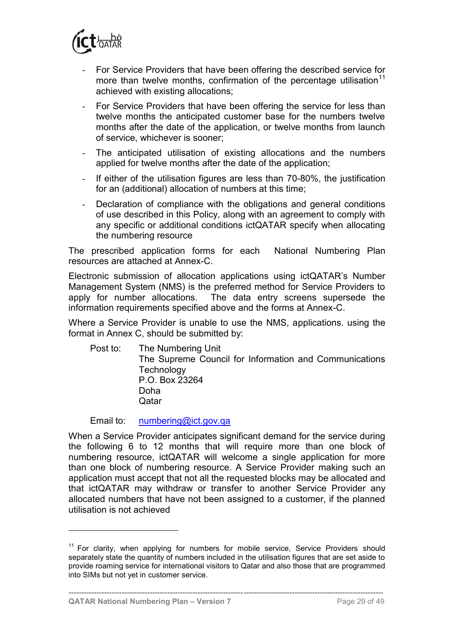

- For Service Providers that have been offering the described service for more than twelve months, confirmation of the percentage utilisation<sup>11</sup> achieved with existing allocations;
- For Service Providers that have been offering the service for less than twelve months the anticipated customer base for the numbers twelve months after the date of the application, or twelve months from launch of service, whichever is sooner;
- The anticipated utilisation of existing allocations and the numbers applied for twelve months after the date of the application;
- If either of the utilisation figures are less than 70-80%, the justification for an (additional) allocation of numbers at this time;
- Declaration of compliance with the obligations and general conditions of use described in this Policy, along with an agreement to comply with any specific or additional conditions ictQATAR specify when allocating the numbering resource

The prescribed application forms for each National Numbering Plan resources are attached at Annex-C.

Electronic submission of allocation applications using ictQATAR's Number Management System (NMS) is the preferred method for Service Providers to apply for number allocations. The data entry screens supersede the information requirements specified above and the forms at Annex-C.

Where a Service Provider is unable to use the NMS, applications. using the format in [Annex C,](#page-52-0) should be submitted by:

Post to: The Numbering Unit The Supreme Council for Information and Communications **Technology** P.O. Box 23264 Doha **Oatar** 

Email to: [numbering@ict.gov.qa](mailto:numbering@ict.gov.qa)

When a Service Provider anticipates significant demand for the service during the following 6 to 12 months that will require more than one block of numbering resource, ictQATAR will welcome a single application for more than one block of numbering resource. A Service Provider making such an application must accept that not all the requested blocks may be allocated and that ictQATAR may withdraw or transfer to another Service Provider any allocated numbers that have not been assigned to a customer, if the planned utilisation is not achieved

**----------------------------------------------------------------------------------------------------------------------------**

 $11$  For clarity, when applying for numbers for mobile service, Service Providers should separately state the quantity of numbers included in the utilisation figures that are set aside to provide roaming service for international visitors to Qatar and also those that are programmed into SIMs but not yet in customer service.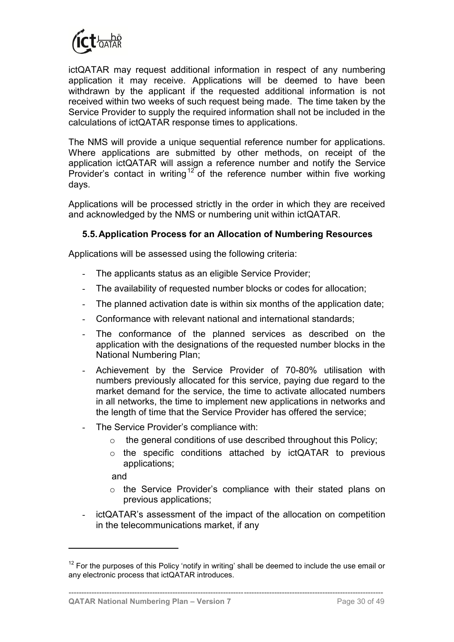

ictQATAR may request additional information in respect of any numbering application it may receive. Applications will be deemed to have been withdrawn by the applicant if the requested additional information is not received within two weeks of such request being made. The time taken by the Service Provider to supply the required information shall not be included in the calculations of ictQATAR response times to applications.

The NMS will provide a unique sequential reference number for applications. Where applications are submitted by other methods, on receipt of the application ictQATAR will assign a reference number and notify the Service Provider's contact in writing<sup>12</sup> of the reference number within five working days.

Applications will be processed strictly in the order in which they are received and acknowledged by the NMS or numbering unit within ictQATAR.

### <span id="page-39-0"></span>**5.5.Application Process for an Allocation of Numbering Resources**

Applications will be assessed using the following criteria:

- The applicants status as an eligible Service Provider;
- The availability of requested number blocks or codes for allocation;
- The planned activation date is within six months of the application date;
- Conformance with relevant national and international standards;
- The conformance of the planned services as described on the application with the designations of the requested number blocks in the National Numbering Plan;
- Achievement by the Service Provider of 70-80% utilisation with numbers previously allocated for this service, paying due regard to the market demand for the service, the time to activate allocated numbers in all networks, the time to implement new applications in networks and the length of time that the Service Provider has offered the service;
- The Service Provider's compliance with:
	- o the general conditions of use described throughout this Policy;
	- o the specific conditions attached by ictQATAR to previous applications;

and

- o the Service Provider's compliance with their stated plans on previous applications;
- ictQATAR's assessment of the impact of the allocation on competition in the telecommunications market, if any

 $12$  For the purposes of this Policy 'notify in writing' shall be deemed to include the use email or any electronic process that ictQATAR introduces.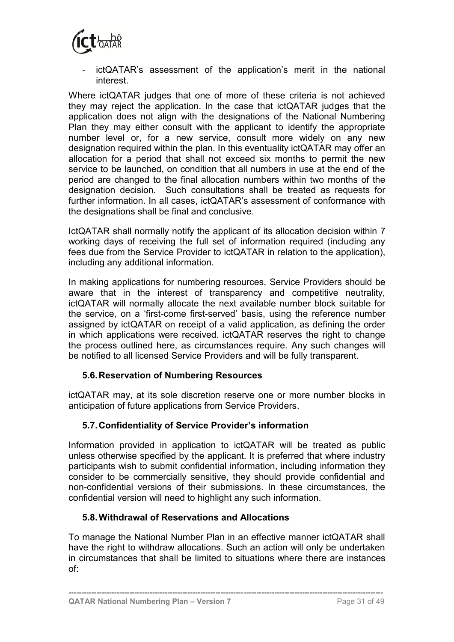

ictQATAR's assessment of the application's merit in the national interest.

Where ictQATAR judges that one of more of these criteria is not achieved they may reject the application. In the case that ictQATAR judges that the application does not align with the designations of the National Numbering Plan they may either consult with the applicant to identify the appropriate number level or, for a new service, consult more widely on any new designation required within the plan. In this eventuality ictQATAR may offer an allocation for a period that shall not exceed six months to permit the new service to be launched, on condition that all numbers in use at the end of the period are changed to the final allocation numbers within two months of the designation decision. Such consultations shall be treated as requests for further information. In all cases, ictQATAR's assessment of conformance with the designations shall be final and conclusive.

IctQATAR shall normally notify the applicant of its allocation decision within 7 working days of receiving the full set of information required (including any fees due from the Service Provider to ictQATAR in relation to the application), including any additional information.

In making applications for numbering resources, Service Providers should be aware that in the interest of transparency and competitive neutrality, ictQATAR will normally allocate the next available number block suitable for the service, on a 'first-come first-served' basis, using the reference number assigned by ictQATAR on receipt of a valid application, as defining the order in which applications were received. ictQATAR reserves the right to change the process outlined here, as circumstances require. Any such changes will be notified to all licensed Service Providers and will be fully transparent.

#### **5.6.Reservation of Numbering Resources**

ictQATAR may, at its sole discretion reserve one or more number blocks in anticipation of future applications from Service Providers.

#### <span id="page-40-0"></span>**5.7.Confidentiality of Service Provider's information**

Information provided in application to ictQATAR will be treated as public unless otherwise specified by the applicant. It is preferred that where industry participants wish to submit confidential information, including information they consider to be commercially sensitive, they should provide confidential and non-confidential versions of their submissions. In these circumstances, the confidential version will need to highlight any such information.

### <span id="page-40-1"></span>**5.8.Withdrawal of Reservations and Allocations**

To manage the National Number Plan in an effective manner ictQATAR shall have the right to withdraw allocations. Such an action will only be undertaken in circumstances that shall be limited to situations where there are instances of: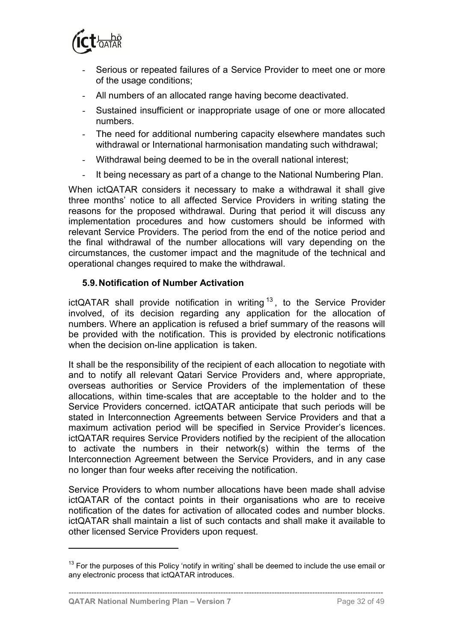

- Serious or repeated failures of a Service Provider to meet one or more of the usage conditions;
- All numbers of an allocated range having become deactivated.
- Sustained insufficient or inappropriate usage of one or more allocated numbers.
- The need for additional numbering capacity elsewhere mandates such withdrawal or International harmonisation mandating such withdrawal;
- Withdrawal being deemed to be in the overall national interest;
- It being necessary as part of a change to the National Numbering Plan.

When ictQATAR considers it necessary to make a withdrawal it shall give three months' notice to all affected Service Providers in writing stating the reasons for the proposed withdrawal. During that period it will discuss any implementation procedures and how customers should be informed with relevant Service Providers. The period from the end of the notice period and the final withdrawal of the number allocations will vary depending on the circumstances, the customer impact and the magnitude of the technical and operational changes required to make the withdrawal.

#### <span id="page-41-0"></span>**5.9.Notification of Number Activation**

ictQATAR shall provide notification in writing  $13$ , to the Service Provider involved, of its decision regarding any application for the allocation of numbers. Where an application is refused a brief summary of the reasons will be provided with the notification. This is provided by electronic notifications when the decision on-line application is taken.

It shall be the responsibility of the recipient of each allocation to negotiate with and to notify all relevant Qatari Service Providers and, where appropriate, overseas authorities or Service Providers of the implementation of these allocations, within time-scales that are acceptable to the holder and to the Service Providers concerned. ictQATAR anticipate that such periods will be stated in Interconnection Agreements between Service Providers and that a maximum activation period will be specified in Service Provider's licences. ictQATAR requires Service Providers notified by the recipient of the allocation to activate the numbers in their network(s) within the terms of the Interconnection Agreement between the Service Providers, and in any case no longer than four weeks after receiving the notification.

Service Providers to whom number allocations have been made shall advise ictQATAR of the contact points in their organisations who are to receive notification of the dates for activation of allocated codes and number blocks. ictQATAR shall maintain a list of such contacts and shall make it available to other licensed Service Providers upon request.

**----------------------------------------------------------------------------------------------------------------------------**

 $13$  For the purposes of this Policy 'notify in writing' shall be deemed to include the use email or any electronic process that ictQATAR introduces.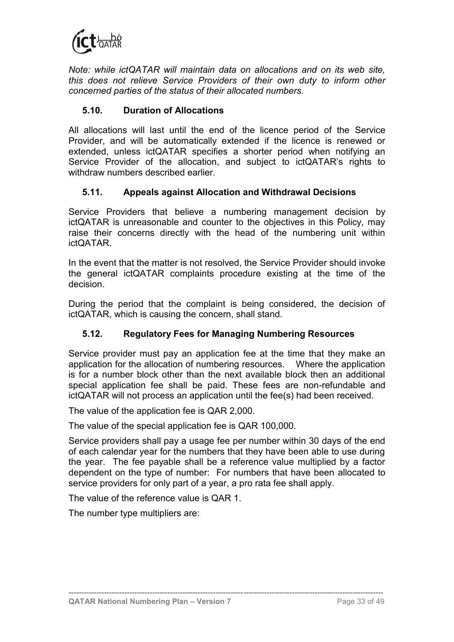

*Note: while ictQATAR will maintain data on allocations and on its web site, this does not relieve Service Providers of their own duty to inform other concerned parties of the status of their allocated numbers.*

### <span id="page-42-0"></span>**5.10. Duration of Allocations**

All allocations will last until the end of the licence period of the Service Provider, and will be automatically extended if the licence is renewed or extended, unless ictQATAR specifies a shorter period when notifying an Service Provider of the allocation, and subject to ictQATAR's rights to withdraw numbers described earlier.

#### <span id="page-42-1"></span>**5.11. Appeals against Allocation and Withdrawal Decisions**

Service Providers that believe a numbering management decision by ictQATAR is unreasonable and counter to the objectives in this Policy, may raise their concerns directly with the head of the numbering unit within ictQATAR.

In the event that the matter is not resolved, the Service Provider should invoke the general ictQATAR complaints procedure existing at the time of the decision.

During the period that the complaint is being considered, the decision of ictQATAR, which is causing the concern, shall stand.

### <span id="page-42-2"></span>**5.12. Regulatory Fees for Managing Numbering Resources**

Service provider must pay an application fee at the time that they make an application for the allocation of numbering resources. Where the application is for a number block other than the next available block then an additional special application fee shall be paid. These fees are non-refundable and ictQATAR will not process an application until the fee(s) had been received.

The value of the application fee is QAR 2,000.

The value of the special application fee is QAR 100,000.

Service providers shall pay a usage fee per number within 30 days of the end of each calendar year for the numbers that they have been able to use during the year. The fee payable shall be a reference value multiplied by a factor dependent on the type of number: For numbers that have been allocated to service providers for only part of a year, a pro rata fee shall apply.

**----------------------------------------------------------------------------------------------------------------------------**

The value of the reference value is QAR 1.

The number type multipliers are: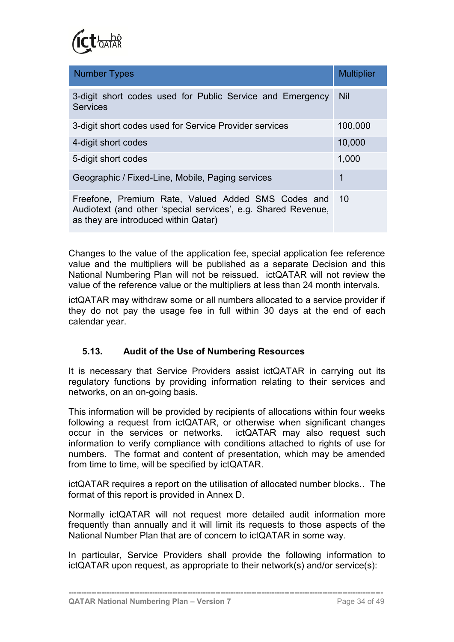

| <b>Number Types</b>                                                                                                                                            | <b>Multiplier</b> |
|----------------------------------------------------------------------------------------------------------------------------------------------------------------|-------------------|
| 3-digit short codes used for Public Service and Emergency<br><b>Services</b>                                                                                   | <b>Nil</b>        |
| 3-digit short codes used for Service Provider services                                                                                                         | 100,000           |
| 4-digit short codes                                                                                                                                            | 10,000            |
| 5-digit short codes                                                                                                                                            | 1,000             |
| Geographic / Fixed-Line, Mobile, Paging services                                                                                                               | 1                 |
| Freefone, Premium Rate, Valued Added SMS Codes and 10<br>Audiotext (and other 'special services', e.g. Shared Revenue,<br>as they are introduced within Qatar) |                   |

Changes to the value of the application fee, special application fee reference value and the multipliers will be published as a separate Decision and this National Numbering Plan will not be reissued. ictQATAR will not review the value of the reference value or the multipliers at less than 24 month intervals.

ictQATAR may withdraw some or all numbers allocated to a service provider if they do not pay the usage fee in full within 30 days at the end of each calendar year.

### <span id="page-43-0"></span>**5.13. Audit of the Use of Numbering Resources**

It is necessary that Service Providers assist ictQATAR in carrying out its regulatory functions by providing information relating to their services and networks, on an on-going basis.

This information will be provided by recipients of allocations within four weeks following a request from ictQATAR, or otherwise when significant changes occur in the services or networks. ictQATAR may also request such information to verify compliance with conditions attached to rights of use for numbers. The format and content of presentation, which may be amended from time to time, will be specified by ictQATAR.

ictQATAR requires a report on the utilisation of allocated number blocks.. The format of this report is provided in [Annex D.](#page-58-0)

Normally ictQATAR will not request more detailed audit information more frequently than annually and it will limit its requests to those aspects of the National Number Plan that are of concern to ictQATAR in some way.

In particular, Service Providers shall provide the following information to ictQATAR upon request, as appropriate to their network(s) and/or service(s):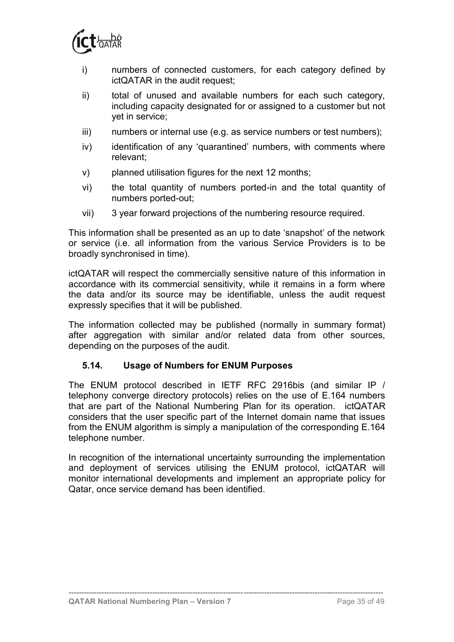

- i) numbers of connected customers, for each category defined by ictQATAR in the audit request;
- ii) total of unused and available numbers for each such category, including capacity designated for or assigned to a customer but not yet in service;
- iii) numbers or internal use (e.g. as service numbers or test numbers);
- iv) identification of any 'quarantined' numbers, with comments where relevant;
- v) planned utilisation figures for the next 12 months;
- vi) the total quantity of numbers ported-in and the total quantity of numbers ported-out;
- vii) 3 year forward projections of the numbering resource required.

This information shall be presented as an up to date 'snapshot' of the network or service (i.e. all information from the various Service Providers is to be broadly synchronised in time).

ictQATAR will respect the commercially sensitive nature of this information in accordance with its commercial sensitivity, while it remains in a form where the data and/or its source may be identifiable, unless the audit request expressly specifies that it will be published.

The information collected may be published (normally in summary format) after aggregation with similar and/or related data from other sources, depending on the purposes of the audit.

#### <span id="page-44-0"></span>**5.14. Usage of Numbers for ENUM Purposes**

The ENUM protocol described in IETF RFC 2916bis (and similar IP / telephony converge directory protocols) relies on the use of E.164 numbers that are part of the National Numbering Plan for its operation. ictQATAR considers that the user specific part of the Internet domain name that issues from the ENUM algorithm is simply a manipulation of the corresponding E.164 telephone number.

In recognition of the international uncertainty surrounding the implementation and deployment of services utilising the ENUM protocol, ictQATAR will monitor international developments and implement an appropriate policy for Qatar, once service demand has been identified.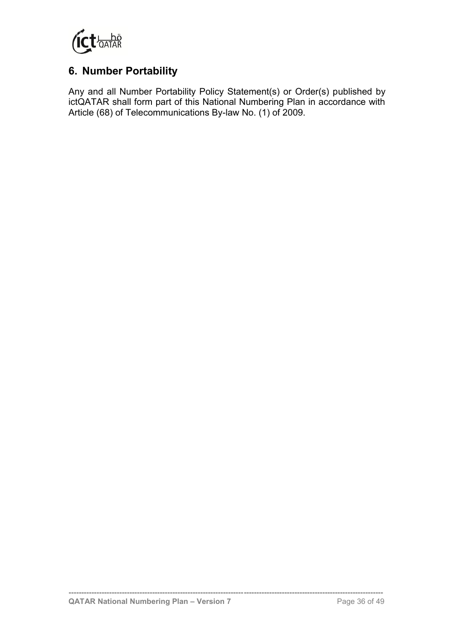

## <span id="page-45-0"></span>**6. Number Portability**

Any and all Number Portability Policy Statement(s) or Order(s) published by ictQATAR shall form part of this National Numbering Plan in accordance with Article (68) of Telecommunications By-law No. (1) of 2009.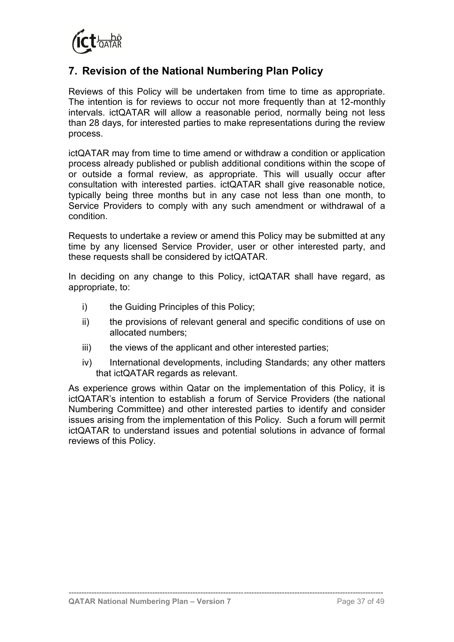

## <span id="page-46-0"></span>**7. Revision of the National Numbering Plan Policy**

Reviews of this Policy will be undertaken from time to time as appropriate. The intention is for reviews to occur not more frequently than at 12-monthly intervals. ictQATAR will allow a reasonable period, normally being not less than 28 days, for interested parties to make representations during the review process.

ictQATAR may from time to time amend or withdraw a condition or application process already published or publish additional conditions within the scope of or outside a formal review, as appropriate. This will usually occur after consultation with interested parties. ictQATAR shall give reasonable notice, typically being three months but in any case not less than one month, to Service Providers to comply with any such amendment or withdrawal of a condition.

Requests to undertake a review or amend this Policy may be submitted at any time by any licensed Service Provider, user or other interested party, and these requests shall be considered by ictQATAR.

In deciding on any change to this Policy, ictQATAR shall have regard, as appropriate, to:

- i) the Guiding Principles of this Policy;
- ii) the provisions of relevant general and specific conditions of use on allocated numbers;
- iii) the views of the applicant and other interested parties;
- iv) International developments, including Standards; any other matters that ictQATAR regards as relevant.

As experience grows within Qatar on the implementation of this Policy, it is ictQATAR's intention to establish a forum of Service Providers (the national Numbering Committee) and other interested parties to identify and consider issues arising from the implementation of this Policy. Such a forum will permit ictQATAR to understand issues and potential solutions in advance of formal reviews of this Policy.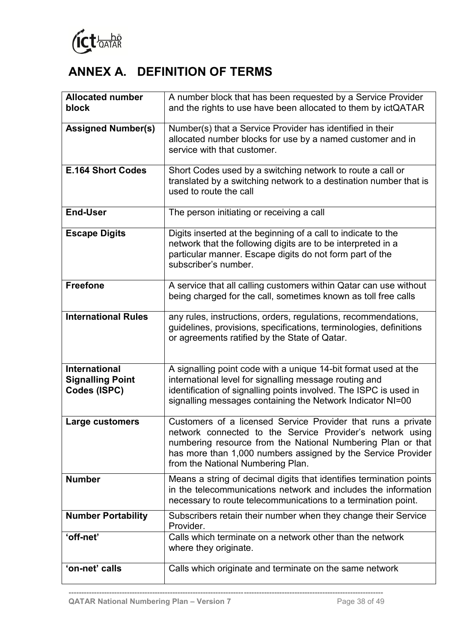

# <span id="page-47-0"></span>**ANNEX A. DEFINITION OF TERMS**

| <b>Allocated number</b>    | A number block that has been requested by a Service Provider        |  |
|----------------------------|---------------------------------------------------------------------|--|
| block                      | and the rights to use have been allocated to them by ictQATAR       |  |
|                            |                                                                     |  |
| <b>Assigned Number(s)</b>  | Number(s) that a Service Provider has identified in their           |  |
|                            | allocated number blocks for use by a named customer and in          |  |
|                            | service with that customer.                                         |  |
|                            |                                                                     |  |
| <b>E.164 Short Codes</b>   | Short Codes used by a switching network to route a call or          |  |
|                            | translated by a switching network to a destination number that is   |  |
|                            | used to route the call                                              |  |
|                            |                                                                     |  |
| <b>End-User</b>            | The person initiating or receiving a call                           |  |
| <b>Escape Digits</b>       | Digits inserted at the beginning of a call to indicate to the       |  |
|                            | network that the following digits are to be interpreted in a        |  |
|                            | particular manner. Escape digits do not form part of the            |  |
|                            | subscriber's number.                                                |  |
|                            |                                                                     |  |
| <b>Freefone</b>            | A service that all calling customers within Qatar can use without   |  |
|                            | being charged for the call, sometimes known as toll free calls      |  |
|                            |                                                                     |  |
| <b>International Rules</b> | any rules, instructions, orders, regulations, recommendations,      |  |
|                            | guidelines, provisions, specifications, terminologies, definitions  |  |
|                            | or agreements ratified by the State of Qatar.                       |  |
|                            |                                                                     |  |
|                            |                                                                     |  |
| <b>International</b>       | A signalling point code with a unique 14-bit format used at the     |  |
| <b>Signalling Point</b>    | international level for signalling message routing and              |  |
| Codes (ISPC)               | identification of signalling points involved. The ISPC is used in   |  |
|                            | signalling messages containing the Network Indicator NI=00          |  |
| Large customers            | Customers of a licensed Service Provider that runs a private        |  |
|                            | network connected to the Service Provider's network using           |  |
|                            | numbering resource from the National Numbering Plan or that         |  |
|                            | has more than 1,000 numbers assigned by the Service Provider        |  |
|                            | from the National Numbering Plan.                                   |  |
| <b>Number</b>              | Means a string of decimal digits that identifies termination points |  |
|                            | in the telecommunications network and includes the information      |  |
|                            | necessary to route telecommunications to a termination point.       |  |
|                            |                                                                     |  |
| <b>Number Portability</b>  | Subscribers retain their number when they change their Service      |  |
|                            | Provider.                                                           |  |
| 'off-net'                  | Calls which terminate on a network other than the network           |  |
|                            | where they originate.                                               |  |
| 'on-net' calls             | Calls which originate and terminate on the same network             |  |
|                            |                                                                     |  |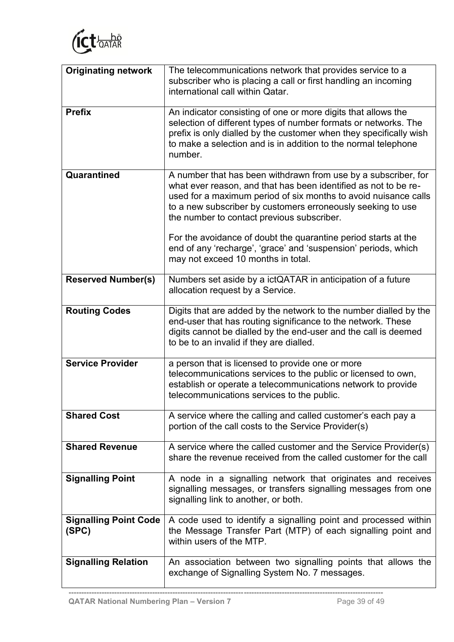

| <b>Originating network</b>            | The telecommunications network that provides service to a<br>subscriber who is placing a call or first handling an incoming<br>international call within Qatar.                                                                                                                                                   |
|---------------------------------------|-------------------------------------------------------------------------------------------------------------------------------------------------------------------------------------------------------------------------------------------------------------------------------------------------------------------|
| <b>Prefix</b>                         | An indicator consisting of one or more digits that allows the<br>selection of different types of number formats or networks. The<br>prefix is only dialled by the customer when they specifically wish<br>to make a selection and is in addition to the normal telephone<br>number.                               |
| Quarantined                           | A number that has been withdrawn from use by a subscriber, for<br>what ever reason, and that has been identified as not to be re-<br>used for a maximum period of six months to avoid nuisance calls<br>to a new subscriber by customers erroneously seeking to use<br>the number to contact previous subscriber. |
|                                       | For the avoidance of doubt the quarantine period starts at the<br>end of any 'recharge', 'grace' and 'suspension' periods, which<br>may not exceed 10 months in total.                                                                                                                                            |
| <b>Reserved Number(s)</b>             | Numbers set aside by a ictQATAR in anticipation of a future<br>allocation request by a Service.                                                                                                                                                                                                                   |
| <b>Routing Codes</b>                  | Digits that are added by the network to the number dialled by the<br>end-user that has routing significance to the network. These<br>digits cannot be dialled by the end-user and the call is deemed<br>to be to an invalid if they are dialled.                                                                  |
| <b>Service Provider</b>               | a person that is licensed to provide one or more<br>telecommunications services to the public or licensed to own,<br>establish or operate a telecommunications network to provide<br>telecommunications services to the public.                                                                                   |
| <b>Shared Cost</b>                    | A service where the calling and called customer's each pay a<br>portion of the call costs to the Service Provider(s)                                                                                                                                                                                              |
| <b>Shared Revenue</b>                 | A service where the called customer and the Service Provider(s)<br>share the revenue received from the called customer for the call                                                                                                                                                                               |
| <b>Signalling Point</b>               | A node in a signalling network that originates and receives<br>signalling messages, or transfers signalling messages from one<br>signalling link to another, or both.                                                                                                                                             |
| <b>Signalling Point Code</b><br>(SPC) | A code used to identify a signalling point and processed within<br>the Message Transfer Part (MTP) of each signalling point and<br>within users of the MTP.                                                                                                                                                       |
| <b>Signalling Relation</b>            | An association between two signalling points that allows the<br>exchange of Signalling System No. 7 messages.                                                                                                                                                                                                     |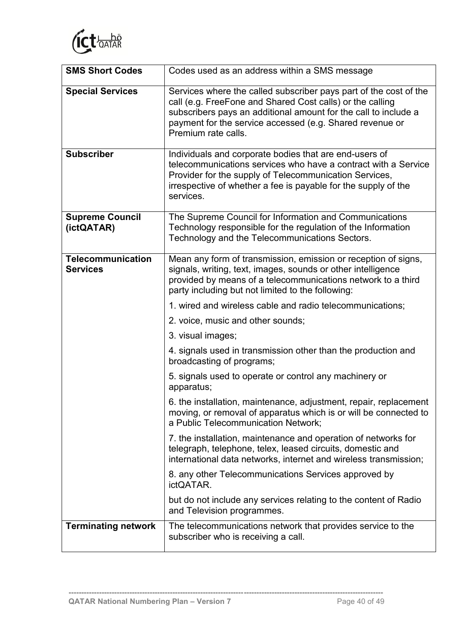

| <b>SMS Short Codes</b>                      | Codes used as an address within a SMS message                                                                                                                                                                                                                                        |  |
|---------------------------------------------|--------------------------------------------------------------------------------------------------------------------------------------------------------------------------------------------------------------------------------------------------------------------------------------|--|
| <b>Special Services</b>                     | Services where the called subscriber pays part of the cost of the<br>call (e.g. FreeFone and Shared Cost calls) or the calling<br>subscribers pays an additional amount for the call to include a<br>payment for the service accessed (e.g. Shared revenue or<br>Premium rate calls. |  |
| <b>Subscriber</b>                           | Individuals and corporate bodies that are end-users of<br>telecommunications services who have a contract with a Service<br>Provider for the supply of Telecommunication Services,<br>irrespective of whether a fee is payable for the supply of the<br>services.                    |  |
| <b>Supreme Council</b><br>(ictQATAR)        | The Supreme Council for Information and Communications<br>Technology responsible for the regulation of the Information<br>Technology and the Telecommunications Sectors.                                                                                                             |  |
| <b>Telecommunication</b><br><b>Services</b> | Mean any form of transmission, emission or reception of signs,<br>signals, writing, text, images, sounds or other intelligence<br>provided by means of a telecommunications network to a third<br>party including but not limited to the following:                                  |  |
|                                             | 1. wired and wireless cable and radio telecommunications;                                                                                                                                                                                                                            |  |
|                                             | 2. voice, music and other sounds;                                                                                                                                                                                                                                                    |  |
|                                             | 3. visual images;                                                                                                                                                                                                                                                                    |  |
|                                             | 4. signals used in transmission other than the production and<br>broadcasting of programs;                                                                                                                                                                                           |  |
|                                             | 5. signals used to operate or control any machinery or<br>apparatus;                                                                                                                                                                                                                 |  |
|                                             | 6. the installation, maintenance, adjustment, repair, replacement<br>moving, or removal of apparatus which is or will be connected to<br>a Public Telecommunication Network;                                                                                                         |  |
|                                             | 7. the installation, maintenance and operation of networks for<br>telegraph, telephone, telex, leased circuits, domestic and<br>international data networks, internet and wireless transmission;                                                                                     |  |
|                                             | 8. any other Telecommunications Services approved by<br>ictQATAR.                                                                                                                                                                                                                    |  |
|                                             | but do not include any services relating to the content of Radio<br>and Television programmes.                                                                                                                                                                                       |  |
| <b>Terminating network</b>                  | The telecommunications network that provides service to the<br>subscriber who is receiving a call.                                                                                                                                                                                   |  |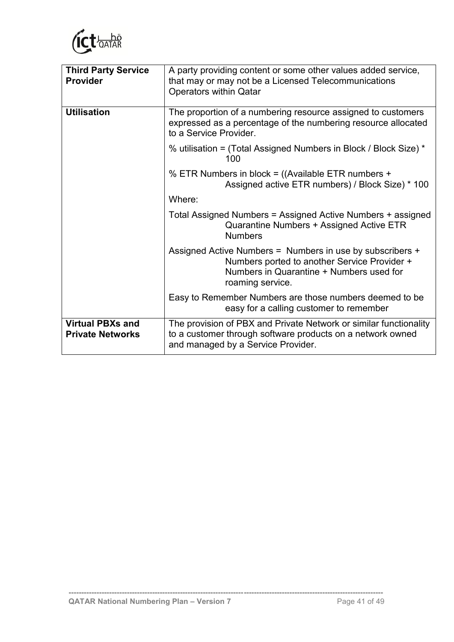

| <b>Third Party Service</b><br><b>Provider</b>      | A party providing content or some other values added service,<br>that may or may not be a Licensed Telecommunications<br><b>Operators within Qatar</b>                    |  |  |
|----------------------------------------------------|---------------------------------------------------------------------------------------------------------------------------------------------------------------------------|--|--|
| <b>Utilisation</b>                                 | The proportion of a numbering resource assigned to customers<br>expressed as a percentage of the numbering resource allocated<br>to a Service Provider.                   |  |  |
|                                                    | % utilisation = (Total Assigned Numbers in Block / Block Size) *<br>100                                                                                                   |  |  |
|                                                    | % ETR Numbers in block = ((Available ETR numbers +<br>Assigned active ETR numbers) / Block Size) * 100                                                                    |  |  |
|                                                    | Where:                                                                                                                                                                    |  |  |
|                                                    | Total Assigned Numbers = Assigned Active Numbers + assigned<br>Quarantine Numbers + Assigned Active ETR<br><b>Numbers</b>                                                 |  |  |
|                                                    | Assigned Active Numbers = Numbers in use by subscribers +<br>Numbers ported to another Service Provider +<br>Numbers in Quarantine + Numbers used for<br>roaming service. |  |  |
|                                                    | Easy to Remember Numbers are those numbers deemed to be<br>easy for a calling customer to remember                                                                        |  |  |
| <b>Virtual PBXs and</b><br><b>Private Networks</b> | The provision of PBX and Private Network or similar functionality<br>to a customer through software products on a network owned<br>and managed by a Service Provider.     |  |  |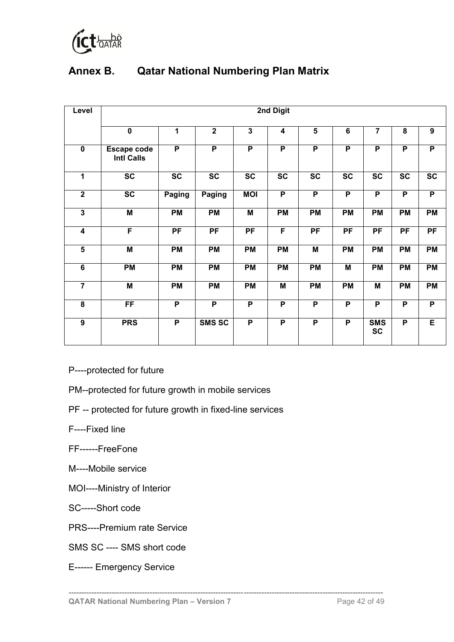

## <span id="page-51-0"></span>**Annex B. Qatar National Numbering Plan Matrix**

| Level                   | 2nd Digit                               |                |                 |                        |                         |                         |                 |                         |                |                        |
|-------------------------|-----------------------------------------|----------------|-----------------|------------------------|-------------------------|-------------------------|-----------------|-------------------------|----------------|------------------------|
|                         | $\mathbf 0$                             | $\mathbf 1$    | $\overline{2}$  | $\overline{3}$         | $\overline{\mathbf{4}}$ | 5                       | $6\phantom{1}6$ | $\overline{7}$          | 8              | $\boldsymbol{9}$       |
| $\mathbf 0$             | <b>Escape code</b><br><b>Intl Calls</b> | P              | $\overline{P}$  | $\overline{P}$         | $\overline{P}$          | $\overline{P}$          | P               | P                       | P              | P                      |
| $\overline{1}$          | $\overline{sc}$                         | <b>SC</b>      | $\overline{SC}$ | $\overline{\text{sc}}$ | $\overline{SC}$         | $\overline{SC}$         | <b>SC</b>       | $\overline{\text{sc}}$  | <b>SC</b>      | $\overline{\text{sc}}$ |
| $\overline{2}$          | $\overline{SC}$                         | Paging         | Paging          | <b>MOI</b>             | $\overline{P}$          | $\overline{P}$          | $\overline{P}$  | $\overline{P}$          | P              | P                      |
| $\overline{3}$          | $\overline{M}$                          | <b>PM</b>      | <b>PM</b>       | M                      | <b>PM</b>               | <b>PM</b>               | <b>PM</b>       | <b>PM</b>               | <b>PM</b>      | <b>PM</b>              |
| $\overline{\mathbf{4}}$ | F                                       | PF             | PF              | PF                     | $\overline{F}$          | $\overline{PF}$         | PF              | $\overline{PF}$         | PF             | PF                     |
| $\overline{\mathbf{5}}$ | M                                       | <b>PM</b>      | PM              | <b>PM</b>              | <b>PM</b>               | M                       | PM              | <b>PM</b>               | PM             | <b>PM</b>              |
| $6\phantom{a}$          | PM                                      | <b>PM</b>      | <b>PM</b>       | PM                     | <b>PM</b>               | <b>PM</b>               | M               | <b>PM</b>               | <b>PM</b>      | <b>PM</b>              |
| $\overline{7}$          | $\overline{M}$                          | <b>PM</b>      | <b>PM</b>       | <b>PM</b>              | M                       | <b>PM</b>               | <b>PM</b>       | M                       | <b>PM</b>      | <b>PM</b>              |
| 8                       | $\overline{FF}$                         | P              | $\overline{P}$  | $\overline{P}$         | $\overline{P}$          | $\overline{P}$          | $\overline{P}$  | $\overline{P}$          | P              | P                      |
| $\overline{9}$          | <b>PRS</b>                              | $\overline{P}$ | <b>SMS SC</b>   | $\overline{P}$         | $\overline{P}$          | $\overline{\mathsf{P}}$ | $\overline{P}$  | <b>SMS</b><br><b>SC</b> | $\overline{P}$ | E                      |

P----protected for future

- PM--protected for future growth in mobile services
- PF -- protected for future growth in fixed-line services
- F----Fixed line
- FF------FreeFone
- M----Mobile service
- MOI----Ministry of Interior
- SC-----Short code
- PRS----Premium rate Service
- SMS SC ---- SMS short code
- E------ Emergency Service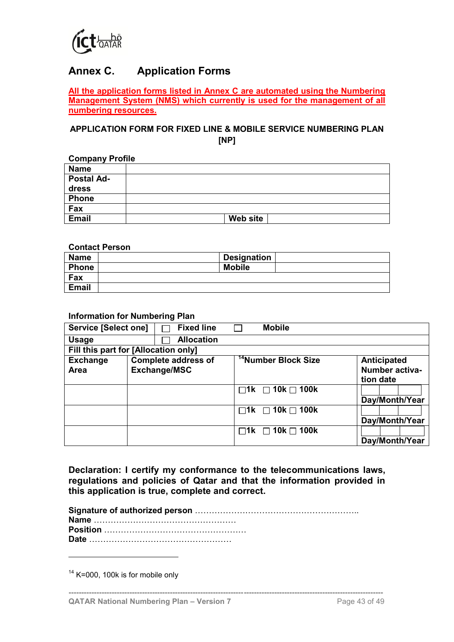

## <span id="page-52-0"></span>**Annex C. Application Forms**

**All the application forms listed in Annex C are automated using the Numbering Management System (NMS) which currently is used for the management of all numbering resources.**

#### **APPLICATION FORM FOR FIXED LINE & MOBILE SERVICE NUMBERING PLAN [NP]**

| <b>Company Profile</b> |          |  |  |
|------------------------|----------|--|--|
| <b>Name</b>            |          |  |  |
| <b>Postal Ad-</b>      |          |  |  |
| dress                  |          |  |  |
| <b>Phone</b>           |          |  |  |
| Fax                    |          |  |  |
| <b>Email</b>           | Web site |  |  |
|                        |          |  |  |

#### **Contact Person**

| <b>Name</b>  | <b>Designation</b> |
|--------------|--------------------|
| Phone        | <b>Mobile</b>      |
| Fax          |                    |
| <b>Email</b> |                    |

#### **Information for Numbering Plan**

| <b>Service [Select one]</b>                           |                   | <b>Fixed line</b>          |           | <b>Mobile</b>                    |                                                   |
|-------------------------------------------------------|-------------------|----------------------------|-----------|----------------------------------|---------------------------------------------------|
| <b>Usage</b>                                          | <b>Allocation</b> |                            |           |                                  |                                                   |
| Fill this part for [Allocation only]                  |                   |                            |           |                                  |                                                   |
| <b>Exchange</b><br><b>Exchange/MSC</b><br><b>Area</b> |                   | <b>Complete address of</b> |           | <sup>14</sup> Number Block Size  | Anticipated<br><b>Number activa-</b><br>tion date |
|                                                       |                   |                            |           | $\Box$ 1k $\Box$ 10k $\Box$ 100k | Day/Month/Year                                    |
|                                                       |                   |                            |           | $\Box$ 1k $\Box$ 10k $\Box$ 100k | Day/Month/Year                                    |
|                                                       |                   |                            | $\Box$ 1k | $\Box$ 10k $\Box$ 100k           | Day/Month/Year                                    |

**Declaration: I certify my conformance to the telecommunications laws, regulations and policies of Qatar and that the information provided in this application is true, complete and correct.**

**----------------------------------------------------------------------------------------------------------------------------**

 $14$  K=000, 100k is for mobile only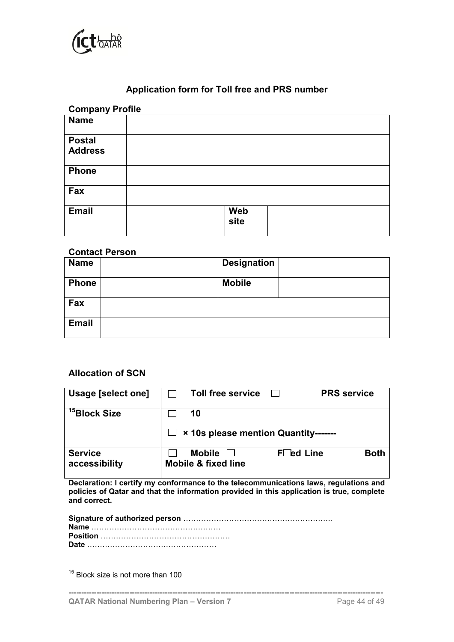

## **Application form for Toll free and PRS number**

| <b>Company Profile</b> |      |  |
|------------------------|------|--|
| <b>Name</b>            |      |  |
| <b>Postal</b>          |      |  |
| <b>Address</b>         |      |  |
| <b>Phone</b>           |      |  |
| Fax                    |      |  |
| <b>Email</b>           | Web  |  |
|                        | site |  |

#### **Contact Person**

| <b>Name</b>  | <b>Designation</b> |  |
|--------------|--------------------|--|
| <b>Phone</b> | <b>Mobile</b>      |  |
| Fax          |                    |  |
| <b>Email</b> |                    |  |

### **Allocation of SCN**

| Usage [select one]              | <b>Toll free service</b><br><b>PRS</b> service               |             |
|---------------------------------|--------------------------------------------------------------|-------------|
| <sup>15</sup> Block Size        | 10<br>$\Box$ × 10s please mention Quantity-------            |             |
| <b>Service</b><br>accessibility | FLed Line<br><b>Mobile</b><br><b>Mobile &amp; fixed line</b> | <b>Both</b> |

**Declaration: I certify my conformance to the telecommunications laws, regulations and policies of Qatar and that the information provided in this application is true, complete and correct.**

<sup>15</sup> Block size is not more than 100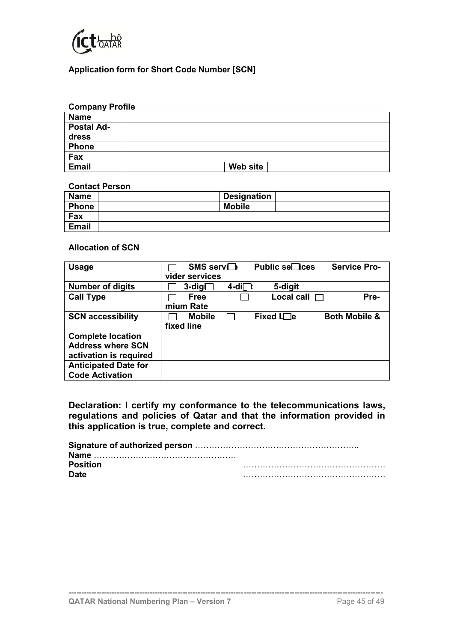

#### **Application form for Short Code Number [SCN]**

| <b>Company Profile</b> |          |
|------------------------|----------|
| <b>Name</b>            |          |
| <b>Postal Ad-</b>      |          |
| dress                  |          |
| <b>Phone</b>           |          |
| Fax                    |          |
| <b>Email</b>           | Web site |

#### **Contact Person**

| <b>Name</b>  | <b>Designation</b> |
|--------------|--------------------|
| <b>Phone</b> | <b>Mobile</b>      |
| Fax          |                    |
| <b>Email</b> |                    |

#### **Allocation of SCN**

| <b>Usage</b>                | SMS service        |                 | <b>Public se</b> ices | <b>Service Pro-</b>      |
|-----------------------------|--------------------|-----------------|-----------------------|--------------------------|
|                             | vider services     |                 |                       |                          |
| <b>Number of digits</b>     | $3$ -dig $\square$ | 4-di⊡           | 5-digit               |                          |
| <b>Call Type</b>            | <b>Free</b>        |                 | Local call $\Box$     | Pre-                     |
|                             | mium Rate          |                 |                       |                          |
| <b>SCN accessibility</b>    | <b>Mobile</b>      | <b>Contract</b> | Fixed $L\Box e$       | <b>Both Mobile &amp;</b> |
|                             | fixed line         |                 |                       |                          |
| <b>Complete location</b>    |                    |                 |                       |                          |
| <b>Address where SCN</b>    |                    |                 |                       |                          |
| activation is required      |                    |                 |                       |                          |
| <b>Anticipated Date for</b> |                    |                 |                       |                          |
| <b>Code Activation</b>      |                    |                 |                       |                          |

**Declaration: I certify my conformance to the telecommunications laws, regulations and policies of Qatar and that the information provided in this application is true, complete and correct.**

| <b>Position</b> |  |
|-----------------|--|
| <b>Date</b>     |  |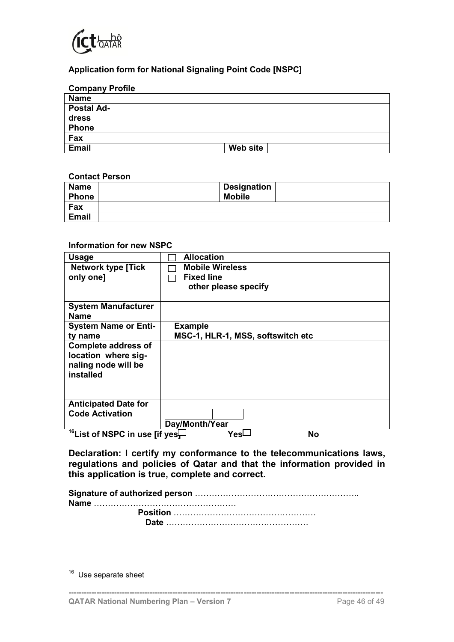

### **Application form for National Signaling Point Code [NSPC]**

| <b>Company Profile</b> |          |
|------------------------|----------|
| <b>Name</b>            |          |
| <b>Postal Ad-</b>      |          |
| dress                  |          |
| <b>Phone</b>           |          |
| Fax                    |          |
| <b>Email</b>           | Web site |

#### **Contact Person**

| <b>Name</b> | <b>Designation</b> |  |
|-------------|--------------------|--|
| Phone       | <b>Mobile</b>      |  |
| Fax         |                    |  |
| Email       |                    |  |

#### **Information for new NSPC**

| <b>Usage</b>                                                                          | <b>Allocation</b>                 |
|---------------------------------------------------------------------------------------|-----------------------------------|
| <b>Network type [Tick</b>                                                             | <b>Mobile Wireless</b>            |
| only one]                                                                             | <b>Fixed line</b>                 |
|                                                                                       | other please specify              |
|                                                                                       |                                   |
| <b>System Manufacturer</b>                                                            |                                   |
| <b>Name</b>                                                                           |                                   |
| <b>System Name or Enti-</b>                                                           | <b>Example</b>                    |
| tv name                                                                               | MSC-1, HLR-1, MSS, softswitch etc |
| <b>Complete address of</b><br>location where sig-<br>naling node will be<br>installed |                                   |
| <b>Anticipated Date for</b>                                                           |                                   |
| <b>Code Activation</b>                                                                |                                   |
|                                                                                       | Day/Month/Year                    |
| <sup>16</sup> List of NSPC in use [if yes                                             | No<br>Yesl                        |

**Declaration: I certify my conformance to the telecommunications laws, regulations and policies of Qatar and that the information provided in this application is true, complete and correct.**

**Signature of authorized person** ………………………………………………….. **Name** …………………………………………… **Position** …………………………………………… **Date** ……………………………………………

<sup>&</sup>lt;sup>16</sup> Use separate sheet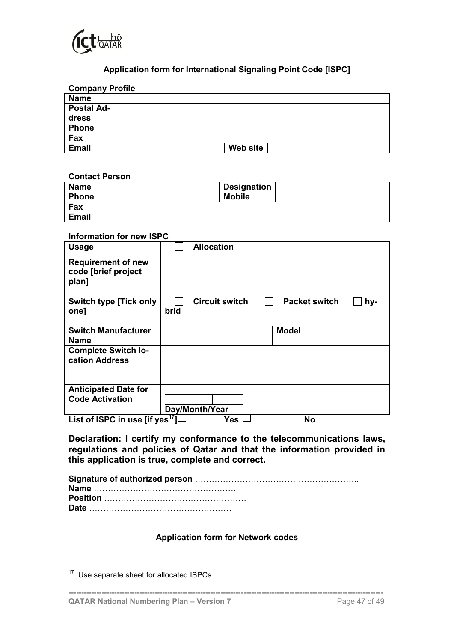

## **Application form for International Signaling Point Code [ISPC]**

| <b>Company Profile</b> |          |
|------------------------|----------|
| <b>Name</b>            |          |
| <b>Postal Ad-</b>      |          |
| dress                  |          |
| <b>Phone</b>           |          |
| Fax                    |          |
| <b>Email</b>           | Web site |

#### **Contact Person**

| <b>Name</b>  | <b>Designation</b> |  |
|--------------|--------------------|--|
| <b>Phone</b> | <b>Mobile</b>      |  |
| Fax          |                    |  |
| <b>Email</b> |                    |  |

#### **Information for new ISPC**

| <b>Usage</b>                                              |      | <b>Allocation</b>     |              |                      |     |
|-----------------------------------------------------------|------|-----------------------|--------------|----------------------|-----|
| <b>Requirement of new</b><br>code [brief project<br>plan] |      |                       |              |                      |     |
| <b>Switch type [Tick only</b><br>one]                     | brid | <b>Circuit switch</b> |              | <b>Packet switch</b> | hy- |
| <b>Switch Manufacturer</b><br><b>Name</b>                 |      |                       | <b>Model</b> |                      |     |
| <b>Complete Switch lo-</b><br>cation Address              |      |                       |              |                      |     |
| <b>Anticipated Date for</b>                               |      |                       |              |                      |     |
| <b>Code Activation</b>                                    |      | Day/Month/Year        |              |                      |     |
| List of ISPC in use [if yes <sup>17</sup> ]               |      | Yes                   |              | No                   |     |

**Declaration: I certify my conformance to the telecommunications laws, regulations and policies of Qatar and that the information provided in this application is true, complete and correct.**

#### **Application form for Network codes**

**----------------------------------------------------------------------------------------------------------------------------**

<sup>&</sup>lt;sup>17</sup> Use separate sheet for allocated ISPCs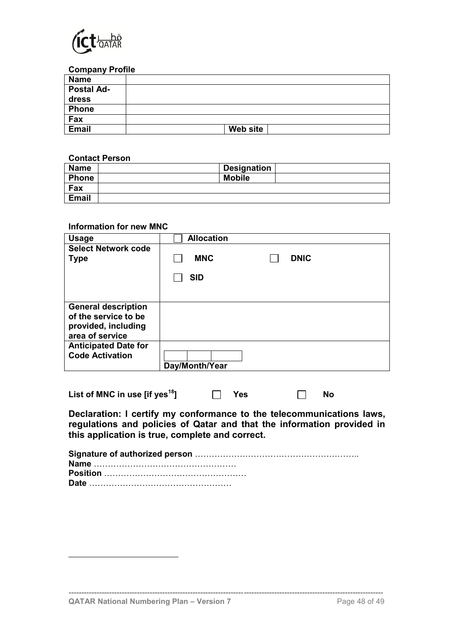

#### **Company Profile**

| <b>Name</b>       |          |
|-------------------|----------|
| <b>Postal Ad-</b> |          |
| dress             |          |
| <b>Phone</b>      |          |
| Fax               |          |
| <b>Email</b>      | Web site |

#### **Contact Person**

| <b>Name</b>  | Designation   |
|--------------|---------------|
| <b>Phone</b> | <b>Mobile</b> |
| Fax          |               |
| <b>Email</b> |               |

#### **Information for new MNC**

| <b>Usage</b>                                                                                 | <b>Allocation</b>                       |
|----------------------------------------------------------------------------------------------|-----------------------------------------|
| <b>Select Network code</b><br><b>Type</b>                                                    | <b>DNIC</b><br><b>MNC</b><br><b>SID</b> |
| <b>General description</b><br>of the service to be<br>provided, including<br>area of service |                                         |
| <b>Anticipated Date for</b><br><b>Code Activation</b>                                        | Day/Month/Year                          |

| List of MNC in use [if yes $^{18}$ ] |  | $\Box$ Yes | No |
|--------------------------------------|--|------------|----|
|--------------------------------------|--|------------|----|

**Declaration: I certify my conformance to the telecommunications laws, regulations and policies of Qatar and that the information provided in this application is true, complete and correct.**